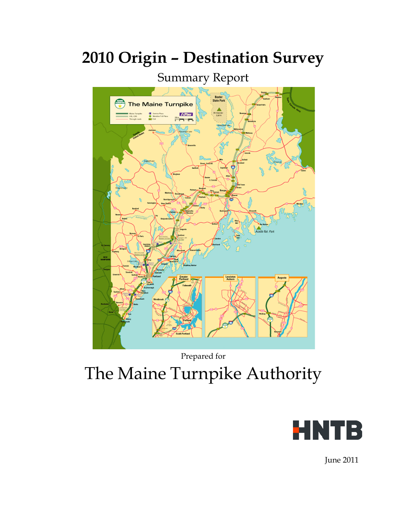# Summary Report Baxter<br>tate Par The Maine Turnpike  $E2P$ ass

# **2010 Origin – Destination Survey**

Prepared for The Maine Turnpike Authority



June 2011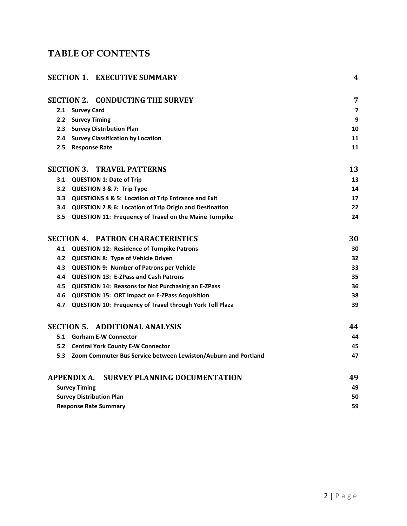# **TABLE OF CONTENTS**

| <b>SECTION 1. EXECUTIVE SUMMARY</b>                                | 4                       |
|--------------------------------------------------------------------|-------------------------|
| <b>SECTION 2. CONDUCTING THE SURVEY</b>                            | 7                       |
| 2.1 Survey Card                                                    | $\overline{\mathbf{z}}$ |
| 2.2 Survey Timing                                                  | 9                       |
| 2.3 Survey Distribution Plan                                       | 10                      |
| 2.4 Survey Classification by Location                              | 11                      |
| <b>Response Rate</b><br>2.5                                        | 11                      |
| <b>SECTION 3. TRAVEL PATTERNS</b>                                  | 13                      |
| 3.1 QUESTION 1: Date of Trip                                       | 13                      |
| QUESTION 3 & 7: Trip Type<br>3.2                                   | 14                      |
| QUESTIONS 4 & 5: Location of Trip Entrance and Exit<br>3.3         | 17                      |
| QUESTION 2 & 6: Location of Trip Origin and Destination<br>3.4     | 22                      |
| 3.5 QUESTION 11: Frequency of Travel on the Maine Turnpike         | 24                      |
| <b>SECTION 4. PATRON CHARACTERISTICS</b>                           | 30                      |
| 4.1 QUESTION 12: Residence of Turnpike Patrons                     | 30                      |
| 4.2 QUESTION 8: Type of Vehicle Driven                             | 32                      |
| <b>QUESTION 9: Number of Patrons per Vehicle</b><br>4.3            | 33                      |
| 4.4 QUESTION 13: E-ZPass and Cash Patrons                          | 35                      |
| 4.5 QUESTION 14: Reasons for Not Purchasing an E-ZPass             | 36                      |
| 4.6 QUESTION 15: ORT Impact on E-ZPass Acquisition                 | 38                      |
| 4.7 QUESTION 10: Frequency of Travel through York Toll Plaza       | 39                      |
| <b>SECTION 5. ADDITIONAL ANALYSIS</b>                              | 44                      |
| 5.1 Gorham E-W Connector                                           | 44                      |
| 5.2 Central York County E-W Connector                              | 45                      |
| 5.3 Zoom Commuter Bus Service between Lewiston/Auburn and Portland | 47                      |
| <b>APPENDIX A.</b><br><b>SURVEY PLANNING DOCUMENTATION</b>         | 49                      |
| <b>Survey Timing</b>                                               | 49                      |
| <b>Survey Distribution Plan</b>                                    | 50                      |
| <b>Response Rate Summary</b>                                       | 59                      |
|                                                                    |                         |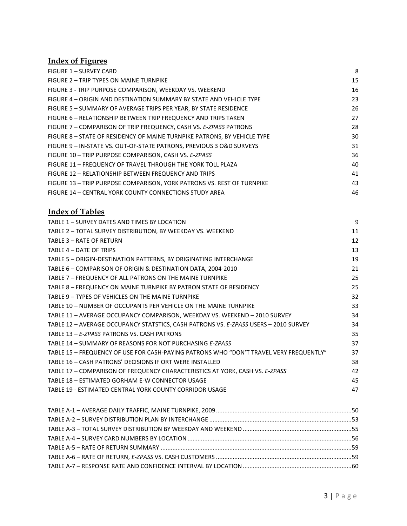# **Index of Figures**

| FIGURE 1 - SURVEY CARD                                                   | 8  |
|--------------------------------------------------------------------------|----|
| FIGURE 2 – TRIP TYPES ON MAINE TURNPIKE                                  | 15 |
| FIGURE 3 - TRIP PURPOSE COMPARISON, WEEKDAY VS. WEEKEND                  | 16 |
| FIGURE 4 – ORIGIN AND DESTINATION SUMMARY BY STATE AND VEHICLE TYPE      | 23 |
| FIGURE 5 - SUMMARY OF AVERAGE TRIPS PER YEAR, BY STATE RESIDENCE         | 26 |
| FIGURE 6 - RELATIONSHIP BETWEEN TRIP FREQUENCY AND TRIPS TAKEN           | 27 |
| FIGURE 7 - COMPARISON OF TRIP FREQUENCY, CASH VS. E-ZPASS PATRONS        | 28 |
| FIGURE 8 - STATE OF RESIDENCY OF MAINE TURNPIKE PATRONS, BY VEHICLE TYPE | 30 |
| FIGURE 9 - IN-STATE VS. OUT-OF-STATE PATRONS, PREVIOUS 3 O&D SURVEYS     | 31 |
| FIGURE 10 - TRIP PURPOSE COMPARISON, CASH VS. E-ZPASS                    | 36 |
| FIGURE 11 - FREQUENCY OF TRAVEL THROUGH THE YORK TOLL PLAZA              | 40 |
| FIGURE 12 - RELATIONSHIP BETWEEN FREQUENCY AND TRIPS                     | 41 |
| FIGURE 13 - TRIP PURPOSE COMPARISON, YORK PATRONS VS. REST OF TURNPIKE   | 43 |
| FIGURE 14 - CENTRAL YORK COUNTY CONNECTIONS STUDY AREA                   | 46 |

### **Index of Tables**

| TABLE 1 - SURVEY DATES AND TIMES BY LOCATION                                           | 9  |
|----------------------------------------------------------------------------------------|----|
| TABLE 2 - TOTAL SURVEY DISTRIBUTION, BY WEEKDAY VS. WEEKEND                            | 11 |
| TABLE 3 - RATE OF RETURN                                                               | 12 |
| TABLE 4 - DATE OF TRIPS                                                                | 13 |
| TABLE 5 - ORIGIN-DESTINATION PATTERNS, BY ORIGINATING INTERCHANGE                      | 19 |
| TABLE 6 - COMPARISON OF ORIGIN & DESTINATION DATA, 2004-2010                           | 21 |
| TABLE 7 - FREQUENCY OF ALL PATRONS ON THE MAINE TURNPIKE                               | 25 |
| TABLE 8 - FREQUENCY ON MAINE TURNPIKE BY PATRON STATE OF RESIDENCY                     | 25 |
| TABLE 9 - TYPES OF VEHICLES ON THE MAINE TURNPIKE                                      | 32 |
| TABLE 10 - NUMBER OF OCCUPANTS PER VEHICLE ON THE MAINE TURNPIKE                       | 33 |
| TABLE 11 - AVERAGE OCCUPANCY COMPARISON, WEEKDAY VS. WEEKEND - 2010 SURVEY             | 34 |
| TABLE 12 - AVERAGE OCCUPANCY STATSTICS, CASH PATRONS VS. E-ZPASS USERS - 2010 SURVEY   | 34 |
| TABLE 13 - E-ZPASS PATRONS VS. CASH PATRONS                                            | 35 |
| TABLE 14 - SUMMARY OF REASONS FOR NOT PURCHASING E-ZPASS                               | 37 |
| TABLE 15 - FREQUENCY OF USE FOR CASH-PAYING PATRONS WHO "DON'T TRAVEL VERY FREQUENTLY" | 37 |
| TABLE 16 - CASH PATRONS' DECISIONS IF ORT WERE INSTALLED                               | 38 |
| TABLE 17 - COMPARISON OF FREQUENCY CHARACTERISTICS AT YORK, CASH VS. E-ZPASS           | 42 |
| TABLE 18 - ESTIMATED GORHAM E-W CONNECTOR USAGE                                        | 45 |
| TABLE 19 - ESTIMATED CENTRAL YORK COUNTY CORRIDOR USAGE                                | 47 |
|                                                                                        |    |
|                                                                                        |    |
|                                                                                        |    |
|                                                                                        |    |
|                                                                                        |    |
|                                                                                        |    |
|                                                                                        |    |
|                                                                                        |    |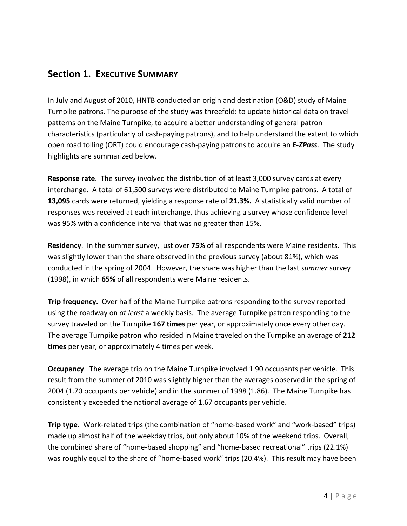# <span id="page-3-0"></span>**Section 1. EXECUTIVE SUMMARY**

In July and August of 2010, HNTB conducted an origin and destination (O&D) study of Maine Turnpike patrons. The purpose of the study was threefold: to update historical data on travel patterns on the Maine Turnpike, to acquire a better understanding of general patron characteristics (particularly of cash-paying patrons), and to help understand the extent to which open road tolling (ORT) could encourage cash-paying patrons to acquire an *E-ZPass*. The study highlights are summarized below.

**Response rate**. The survey involved the distribution of at least 3,000 survey cards at every interchange. A total of 61,500 surveys were distributed to Maine Turnpike patrons. A total of **13,095** cards were returned, yielding a response rate of **21.3%.** A statistically valid number of responses was received at each interchange, thus achieving a survey whose confidence level was 95% with a confidence interval that was no greater than ±5%.

**Residency**. In the summer survey, just over **75%** of all respondents were Maine residents. This was slightly lower than the share observed in the previous survey (about 81%), which was conducted in the spring of 2004. However, the share was higher than the last *summer* survey (1998), in which **65%** of all respondents were Maine residents.

**Trip frequency.** Over half of the Maine Turnpike patrons responding to the survey reported using the roadway on *at least* a weekly basis. The average Turnpike patron responding to the survey traveled on the Turnpike **167 times** per year, or approximately once every other day. The average Turnpike patron who resided in Maine traveled on the Turnpike an average of **212 times** per year, or approximately 4 times per week.

**Occupancy**. The average trip on the Maine Turnpike involved 1.90 occupants per vehicle. This result from the summer of 2010 was slightly higher than the averages observed in the spring of 2004 (1.70 occupants per vehicle) and in the summer of 1998 (1.86). The Maine Turnpike has consistently exceeded the national average of 1.67 occupants per vehicle.

**Trip type**. Work-related trips (the combination of "home-based work" and "work-based" trips) made up almost half of the weekday trips, but only about 10% of the weekend trips. Overall, the combined share of "home-based shopping" and "home-based recreational" trips (22.1%) was roughly equal to the share of "home-based work" trips (20.4%). This result may have been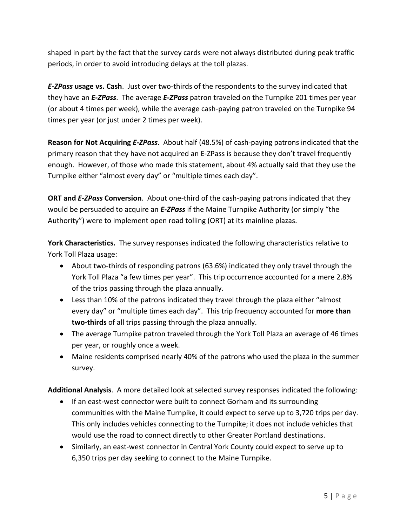shaped in part by the fact that the survey cards were not always distributed during peak traffic periods, in order to avoid introducing delays at the toll plazas.

*E-ZPass* **usage vs. Cash**. Just over two-thirds of the respondents to the survey indicated that they have an *E-ZPass*. The average *E-ZPass* patron traveled on the Turnpike 201 times per year (or about 4 times per week), while the average cash-paying patron traveled on the Turnpike 94 times per year (or just under 2 times per week).

**Reason for Not Acquiring** *E-ZPass*. About half (48.5%) of cash-paying patrons indicated that the primary reason that they have not acquired an E-ZPass is because they don't travel frequently enough. However, of those who made this statement, about 4% actually said that they use the Turnpike either "almost every day" or "multiple times each day".

**ORT and** *E-ZPass* **Conversion**. About one-third of the cash-paying patrons indicated that they would be persuaded to acquire an *E-ZPass* if the Maine Turnpike Authority (or simply "the Authority") were to implement open road tolling (ORT) at its mainline plazas.

**York Characteristics.** The survey responses indicated the following characteristics relative to York Toll Plaza usage:

- About two-thirds of responding patrons (63.6%) indicated they only travel through the York Toll Plaza "a few times per year". This trip occurrence accounted for a mere 2.8% of the trips passing through the plaza annually.
- Less than 10% of the patrons indicated they travel through the plaza either "almost every day" or "multiple times each day". This trip frequency accounted for **more than two-thirds** of all trips passing through the plaza annually.
- The average Turnpike patron traveled through the York Toll Plaza an average of 46 times per year, or roughly once a week.
- Maine residents comprised nearly 40% of the patrons who used the plaza in the summer survey.

**Additional Analysis**. A more detailed look at selected survey responses indicated the following:

- If an east-west connector were built to connect Gorham and its surrounding communities with the Maine Turnpike, it could expect to serve up to 3,720 trips per day. This only includes vehicles connecting to the Turnpike; it does not include vehicles that would use the road to connect directly to other Greater Portland destinations.
- Similarly, an east-west connector in Central York County could expect to serve up to 6,350 trips per day seeking to connect to the Maine Turnpike.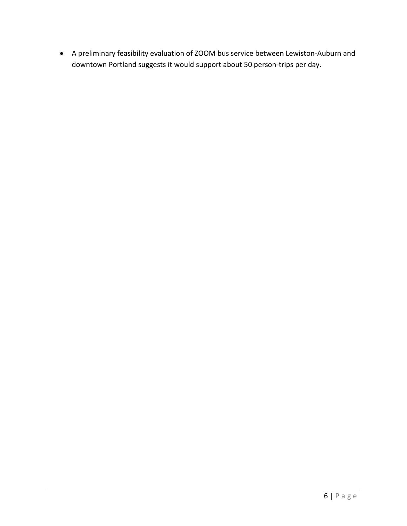• A preliminary feasibility evaluation of ZOOM bus service between Lewiston-Auburn and downtown Portland suggests it would support about 50 person-trips per day.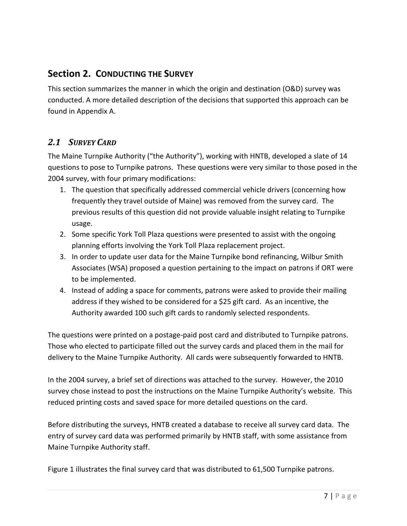# <span id="page-6-0"></span>**Section 2. CONDUCTING THE SURVEY**

This section summarizes the manner in which the origin and destination (O&D) survey was conducted. A more detailed description of the decisions that supported this approach can be found in [Appendix A.](#page-48-0)

### <span id="page-6-1"></span>*2.1 SURVEY CARD*

The Maine Turnpike Authority ("the Authority"), working with HNTB, developed a slate of 14 questions to pose to Turnpike patrons. These questions were very similar to those posed in the 2004 survey, with four primary modifications:

- 1. The question that specifically addressed commercial vehicle drivers (concerning how frequently they travel outside of Maine) was removed from the survey card. The previous results of this question did not provide valuable insight relating to Turnpike usage.
- 2. Some specific York Toll Plaza questions were presented to assist with the ongoing planning efforts involving the York Toll Plaza replacement project.
- 3. In order to update user data for the Maine Turnpike bond refinancing, Wilbur Smith Associates (WSA) proposed a question pertaining to the impact on patrons if ORT were to be implemented.
- 4. Instead of adding a space for comments, patrons were asked to provide their mailing address if they wished to be considered for a \$25 gift card. As an incentive, the Authority awarded 100 such gift cards to randomly selected respondents.

The questions were printed on a postage-paid post card and distributed to Turnpike patrons. Those who elected to participate filled out the survey cards and placed them in the mail for delivery to the Maine Turnpike Authority. All cards were subsequently forwarded to HNTB.

In the 2004 survey, a brief set of directions was attached to the survey. However, the 2010 survey chose instead to post the instructions on the Maine Turnpike Authority's website. This reduced printing costs and saved space for more detailed questions on the card.

Before distributing the surveys, HNTB created a database to receive all survey card data. The entry of survey card data was performed primarily by HNTB staff, with some assistance from Maine Turnpike Authority staff.

[Figure 1](#page-7-0) illustrates the final survey card that was distributed to 61,500 Turnpike patrons.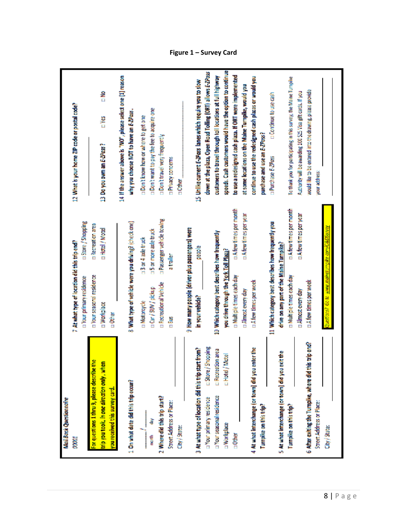<span id="page-7-0"></span>

| e<br>⊾<br>Authority will be awarding 100 \$25 Visa gift cards. If you<br>D Continue to use cash<br>12 What is your home ZIP code or postal code?<br><b>OD</b> twant to pay the fee to acquire one<br>why you choose NOT to have an E-ZPass.<br>□ Don't know how or where to get one<br>E Yes<br>purchase and use an E-ZPass?<br>Don't travel very frequently<br>13 Do you own an E-ZPass?<br><b>Purchase E-ZPoss</b><br><b>I Privacy concerns</b><br>your address:<br>$10$ ther<br><b>DA few times per month</b><br><b>DA few times per month</b><br><b>u.A few times per year</b><br><b>DA lew times per year</b><br>a Passenger vehicle towing<br><b>u</b> Store / Shopping<br>11 Which category best describes how frequently you<br>8 What type of vehicle were you driving? (check one)<br><b>DRecreation area</b><br>tuestions? Go to www.maineturnpike.com/O&DSunvey<br>9 How many people (driver plus passengers) were<br><b>p</b> Hotel / Motel<br><b>15 or more axle truck</b><br>10 Which category best describes how frequently<br>13 or 4 axle truck<br>7 At what type of location did this trip end?<br>drive on any part of the Maine Turnpike?<br><b>PRODUCE</b><br>you drive through the York Toll Plaza?<br>atraler<br>E Your seasonal residence<br>n Multiple times each day<br>n Multiple times each day<br>a Your primary residence<br>LA few times per week<br><b>DA few times per week</b><br><b>D</b> Recreational Vehicle<br>□ Car / SUV / pickup<br><b>Limost every day</b><br><b>Linost</b> every day<br>in your vehide?<br><b>In Motorcycle</b><br><b>u Workplace</b><br>n Other<br>n Bus<br>6 After exiting the Tumpike, where did this trip end?<br>EStore/Shopping<br>4 At what interchange (or town) did you enter the<br>3 At what type of location did this trip start from?<br>E Recreation area<br>5 At what interchange (or town) did you exit the<br><b>Lindel</b> / Motel<br>For questions 1 thru 9, please describe the<br>trip you took, in one direction only , when<br>1 On what date did this trip occur?<br>you received this survey card.<br>D'Your seasonal residence<br>2 Where did this trip start?<br>a Your primary residence<br>Mail Back Questionnaire<br>Street Address or Place:<br>Street Address or Place:<br>Turnpike on this trip?<br>Turnpike on this trip?<br>ã<br><b>I</b> Workplace<br>City/State:<br>$\frac{1}{2}$<br>menth<br><b>DOOD!</b> |               |  |                                                                  |
|-------------------------------------------------------------------------------------------------------------------------------------------------------------------------------------------------------------------------------------------------------------------------------------------------------------------------------------------------------------------------------------------------------------------------------------------------------------------------------------------------------------------------------------------------------------------------------------------------------------------------------------------------------------------------------------------------------------------------------------------------------------------------------------------------------------------------------------------------------------------------------------------------------------------------------------------------------------------------------------------------------------------------------------------------------------------------------------------------------------------------------------------------------------------------------------------------------------------------------------------------------------------------------------------------------------------------------------------------------------------------------------------------------------------------------------------------------------------------------------------------------------------------------------------------------------------------------------------------------------------------------------------------------------------------------------------------------------------------------------------------------------------------------------------------------------------------------------------------------------------------------------------------------------------------------------------------------------------------------------------------------------------------------------------------------------------------------------------------------------------------------------------------------------------------------------------------------------------------------------------------------------------------------------------------------------------------------------------------------------------------------------------------------------|---------------|--|------------------------------------------------------------------|
|                                                                                                                                                                                                                                                                                                                                                                                                                                                                                                                                                                                                                                                                                                                                                                                                                                                                                                                                                                                                                                                                                                                                                                                                                                                                                                                                                                                                                                                                                                                                                                                                                                                                                                                                                                                                                                                                                                                                                                                                                                                                                                                                                                                                                                                                                                                                                                                                             |               |  |                                                                  |
|                                                                                                                                                                                                                                                                                                                                                                                                                                                                                                                                                                                                                                                                                                                                                                                                                                                                                                                                                                                                                                                                                                                                                                                                                                                                                                                                                                                                                                                                                                                                                                                                                                                                                                                                                                                                                                                                                                                                                                                                                                                                                                                                                                                                                                                                                                                                                                                                             |               |  |                                                                  |
|                                                                                                                                                                                                                                                                                                                                                                                                                                                                                                                                                                                                                                                                                                                                                                                                                                                                                                                                                                                                                                                                                                                                                                                                                                                                                                                                                                                                                                                                                                                                                                                                                                                                                                                                                                                                                                                                                                                                                                                                                                                                                                                                                                                                                                                                                                                                                                                                             |               |  |                                                                  |
|                                                                                                                                                                                                                                                                                                                                                                                                                                                                                                                                                                                                                                                                                                                                                                                                                                                                                                                                                                                                                                                                                                                                                                                                                                                                                                                                                                                                                                                                                                                                                                                                                                                                                                                                                                                                                                                                                                                                                                                                                                                                                                                                                                                                                                                                                                                                                                                                             |               |  |                                                                  |
|                                                                                                                                                                                                                                                                                                                                                                                                                                                                                                                                                                                                                                                                                                                                                                                                                                                                                                                                                                                                                                                                                                                                                                                                                                                                                                                                                                                                                                                                                                                                                                                                                                                                                                                                                                                                                                                                                                                                                                                                                                                                                                                                                                                                                                                                                                                                                                                                             |               |  |                                                                  |
|                                                                                                                                                                                                                                                                                                                                                                                                                                                                                                                                                                                                                                                                                                                                                                                                                                                                                                                                                                                                                                                                                                                                                                                                                                                                                                                                                                                                                                                                                                                                                                                                                                                                                                                                                                                                                                                                                                                                                                                                                                                                                                                                                                                                                                                                                                                                                                                                             |               |  | 14 If the answer above is "NO", please selectione [1] reason     |
|                                                                                                                                                                                                                                                                                                                                                                                                                                                                                                                                                                                                                                                                                                                                                                                                                                                                                                                                                                                                                                                                                                                                                                                                                                                                                                                                                                                                                                                                                                                                                                                                                                                                                                                                                                                                                                                                                                                                                                                                                                                                                                                                                                                                                                                                                                                                                                                                             |               |  |                                                                  |
|                                                                                                                                                                                                                                                                                                                                                                                                                                                                                                                                                                                                                                                                                                                                                                                                                                                                                                                                                                                                                                                                                                                                                                                                                                                                                                                                                                                                                                                                                                                                                                                                                                                                                                                                                                                                                                                                                                                                                                                                                                                                                                                                                                                                                                                                                                                                                                                                             |               |  |                                                                  |
|                                                                                                                                                                                                                                                                                                                                                                                                                                                                                                                                                                                                                                                                                                                                                                                                                                                                                                                                                                                                                                                                                                                                                                                                                                                                                                                                                                                                                                                                                                                                                                                                                                                                                                                                                                                                                                                                                                                                                                                                                                                                                                                                                                                                                                                                                                                                                                                                             |               |  |                                                                  |
|                                                                                                                                                                                                                                                                                                                                                                                                                                                                                                                                                                                                                                                                                                                                                                                                                                                                                                                                                                                                                                                                                                                                                                                                                                                                                                                                                                                                                                                                                                                                                                                                                                                                                                                                                                                                                                                                                                                                                                                                                                                                                                                                                                                                                                                                                                                                                                                                             |               |  |                                                                  |
|                                                                                                                                                                                                                                                                                                                                                                                                                                                                                                                                                                                                                                                                                                                                                                                                                                                                                                                                                                                                                                                                                                                                                                                                                                                                                                                                                                                                                                                                                                                                                                                                                                                                                                                                                                                                                                                                                                                                                                                                                                                                                                                                                                                                                                                                                                                                                                                                             |               |  |                                                                  |
|                                                                                                                                                                                                                                                                                                                                                                                                                                                                                                                                                                                                                                                                                                                                                                                                                                                                                                                                                                                                                                                                                                                                                                                                                                                                                                                                                                                                                                                                                                                                                                                                                                                                                                                                                                                                                                                                                                                                                                                                                                                                                                                                                                                                                                                                                                                                                                                                             |               |  |                                                                  |
|                                                                                                                                                                                                                                                                                                                                                                                                                                                                                                                                                                                                                                                                                                                                                                                                                                                                                                                                                                                                                                                                                                                                                                                                                                                                                                                                                                                                                                                                                                                                                                                                                                                                                                                                                                                                                                                                                                                                                                                                                                                                                                                                                                                                                                                                                                                                                                                                             |               |  |                                                                  |
|                                                                                                                                                                                                                                                                                                                                                                                                                                                                                                                                                                                                                                                                                                                                                                                                                                                                                                                                                                                                                                                                                                                                                                                                                                                                                                                                                                                                                                                                                                                                                                                                                                                                                                                                                                                                                                                                                                                                                                                                                                                                                                                                                                                                                                                                                                                                                                                                             |               |  | 15 Unlike current E-2Pass lanes which require you to slow        |
|                                                                                                                                                                                                                                                                                                                                                                                                                                                                                                                                                                                                                                                                                                                                                                                                                                                                                                                                                                                                                                                                                                                                                                                                                                                                                                                                                                                                                                                                                                                                                                                                                                                                                                                                                                                                                                                                                                                                                                                                                                                                                                                                                                                                                                                                                                                                                                                                             |               |  | down at the plaza, Open Road Tolling (ORT) allows E-ZPoss        |
|                                                                                                                                                                                                                                                                                                                                                                                                                                                                                                                                                                                                                                                                                                                                                                                                                                                                                                                                                                                                                                                                                                                                                                                                                                                                                                                                                                                                                                                                                                                                                                                                                                                                                                                                                                                                                                                                                                                                                                                                                                                                                                                                                                                                                                                                                                                                                                                                             |               |  | customers to travel through toll locations at full highway       |
|                                                                                                                                                                                                                                                                                                                                                                                                                                                                                                                                                                                                                                                                                                                                                                                                                                                                                                                                                                                                                                                                                                                                                                                                                                                                                                                                                                                                                                                                                                                                                                                                                                                                                                                                                                                                                                                                                                                                                                                                                                                                                                                                                                                                                                                                                                                                                                                                             |               |  | speeds. Cash customers would have the option to continue         |
|                                                                                                                                                                                                                                                                                                                                                                                                                                                                                                                                                                                                                                                                                                                                                                                                                                                                                                                                                                                                                                                                                                                                                                                                                                                                                                                                                                                                                                                                                                                                                                                                                                                                                                                                                                                                                                                                                                                                                                                                                                                                                                                                                                                                                                                                                                                                                                                                             |               |  | to use a redesigned cash plaza. If ORT were implemented          |
|                                                                                                                                                                                                                                                                                                                                                                                                                                                                                                                                                                                                                                                                                                                                                                                                                                                                                                                                                                                                                                                                                                                                                                                                                                                                                                                                                                                                                                                                                                                                                                                                                                                                                                                                                                                                                                                                                                                                                                                                                                                                                                                                                                                                                                                                                                                                                                                                             |               |  | at some locations on the Maine Turnpike, would you               |
|                                                                                                                                                                                                                                                                                                                                                                                                                                                                                                                                                                                                                                                                                                                                                                                                                                                                                                                                                                                                                                                                                                                                                                                                                                                                                                                                                                                                                                                                                                                                                                                                                                                                                                                                                                                                                                                                                                                                                                                                                                                                                                                                                                                                                                                                                                                                                                                                             |               |  | continue to use the redesigned cash plazas or would you          |
|                                                                                                                                                                                                                                                                                                                                                                                                                                                                                                                                                                                                                                                                                                                                                                                                                                                                                                                                                                                                                                                                                                                                                                                                                                                                                                                                                                                                                                                                                                                                                                                                                                                                                                                                                                                                                                                                                                                                                                                                                                                                                                                                                                                                                                                                                                                                                                                                             |               |  |                                                                  |
|                                                                                                                                                                                                                                                                                                                                                                                                                                                                                                                                                                                                                                                                                                                                                                                                                                                                                                                                                                                                                                                                                                                                                                                                                                                                                                                                                                                                                                                                                                                                                                                                                                                                                                                                                                                                                                                                                                                                                                                                                                                                                                                                                                                                                                                                                                                                                                                                             |               |  |                                                                  |
|                                                                                                                                                                                                                                                                                                                                                                                                                                                                                                                                                                                                                                                                                                                                                                                                                                                                                                                                                                                                                                                                                                                                                                                                                                                                                                                                                                                                                                                                                                                                                                                                                                                                                                                                                                                                                                                                                                                                                                                                                                                                                                                                                                                                                                                                                                                                                                                                             |               |  |                                                                  |
|                                                                                                                                                                                                                                                                                                                                                                                                                                                                                                                                                                                                                                                                                                                                                                                                                                                                                                                                                                                                                                                                                                                                                                                                                                                                                                                                                                                                                                                                                                                                                                                                                                                                                                                                                                                                                                                                                                                                                                                                                                                                                                                                                                                                                                                                                                                                                                                                             |               |  | To thank you for perforpating in this survey, the Maine Turnpike |
|                                                                                                                                                                                                                                                                                                                                                                                                                                                                                                                                                                                                                                                                                                                                                                                                                                                                                                                                                                                                                                                                                                                                                                                                                                                                                                                                                                                                                                                                                                                                                                                                                                                                                                                                                                                                                                                                                                                                                                                                                                                                                                                                                                                                                                                                                                                                                                                                             |               |  |                                                                  |
|                                                                                                                                                                                                                                                                                                                                                                                                                                                                                                                                                                                                                                                                                                                                                                                                                                                                                                                                                                                                                                                                                                                                                                                                                                                                                                                                                                                                                                                                                                                                                                                                                                                                                                                                                                                                                                                                                                                                                                                                                                                                                                                                                                                                                                                                                                                                                                                                             |               |  | would like to be entered into the drawing, please provide        |
|                                                                                                                                                                                                                                                                                                                                                                                                                                                                                                                                                                                                                                                                                                                                                                                                                                                                                                                                                                                                                                                                                                                                                                                                                                                                                                                                                                                                                                                                                                                                                                                                                                                                                                                                                                                                                                                                                                                                                                                                                                                                                                                                                                                                                                                                                                                                                                                                             |               |  |                                                                  |
|                                                                                                                                                                                                                                                                                                                                                                                                                                                                                                                                                                                                                                                                                                                                                                                                                                                                                                                                                                                                                                                                                                                                                                                                                                                                                                                                                                                                                                                                                                                                                                                                                                                                                                                                                                                                                                                                                                                                                                                                                                                                                                                                                                                                                                                                                                                                                                                                             | City / State: |  |                                                                  |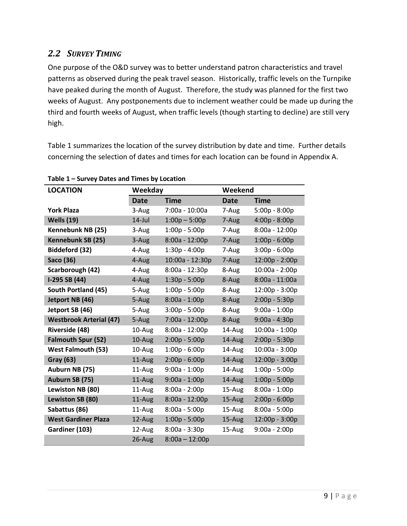# <span id="page-8-0"></span>*2.2 SURVEY TIMING*

One purpose of the O&D survey was to better understand patron characteristics and travel patterns as observed during the peak travel season. Historically, traffic levels on the Turnpike have peaked during the month of August. Therefore, the study was planned for the first two weeks of August. Any postponements due to inclement weather could be made up during the third and fourth weeks of August, when traffic levels (though starting to decline) are still very high.

[Table 1](#page-8-1) summarizes the location of the survey distribution by date and time. Further details concerning the selection of dates and times for each location can be found in [Appendix A.](#page-48-0)

| <b>LOCATION</b>                |             | Weekday          |             | Weekend          |  |  |  |
|--------------------------------|-------------|------------------|-------------|------------------|--|--|--|
|                                | <b>Date</b> | <b>Time</b>      | <b>Date</b> | Time             |  |  |  |
| <b>York Plaza</b>              | 3-Aug       | 7:00a - 10:00a   | 7-Aug       | 5:00p - 8:00p    |  |  |  |
| <b>Wells (19)</b>              | $14$ -Jul   | $1:00p - 5:00p$  | 7-Aug       | $4:00p - 8:00p$  |  |  |  |
| Kennebunk NB (25)              | 3-Aug       | $1:00p - 5:00p$  | 7-Aug       | 8:00a - 12:00p   |  |  |  |
| Kennebunk SB (25)              | 3-Aug       | $8:00a - 12:00p$ | 7-Aug       | $1:00p - 6:00p$  |  |  |  |
| Biddeford (32)                 | 4-Aug       | $1:30p - 4:00p$  | 7-Aug       | $3:00p - 6:00p$  |  |  |  |
| Saco (36)                      | 4-Aug       | 10:00a - 12:30p  | 7-Aug       | 12:00p - 2:00p   |  |  |  |
| Scarborough (42)               | 4-Aug       | 8:00a - 12:30p   | 8-Aug       | 10:00a - 2:00p   |  |  |  |
| I-295 SB (44)                  | 4-Aug       | $1:30p - 5:00p$  | 8-Aug       | 8:00a - 11:00a   |  |  |  |
| South Portland (45)            | 5-Aug       | $1:00p - 5:00p$  | 8-Aug       | 12:00p - 3:00p   |  |  |  |
| Jetport NB (46)                | 5-Aug       | $8:00a - 1:00p$  | 8-Aug       | $2:00p - 5:30p$  |  |  |  |
| Jetport SB (46)                | 5-Aug       | $3:00p - 5:00p$  | 8-Aug       | $9:00a - 1:00p$  |  |  |  |
| <b>Westbrook Arterial (47)</b> | 5-Aug       | 7:00a - 12:00p   | 8-Aug       | $9:00a - 4:30p$  |  |  |  |
| Riverside (48)                 | 10-Aug      | $8:00a - 12:00p$ | $14$ -Aug   | 10:00a - 1:00p   |  |  |  |
| <b>Falmouth Spur (52)</b>      | 10-Aug      | $2:00p - 5:00p$  | 14-Aug      | $2:00p - 5:30p$  |  |  |  |
| <b>West Falmouth (53)</b>      | 10-Aug      | $1:00p - 6:00p$  | 14-Aug      | $10:00a - 3:00p$ |  |  |  |
| <b>Gray (63)</b>               | 11-Aug      | $2:00p - 6:00p$  | 14-Aug      | 12:00p - 3:00p   |  |  |  |
| Auburn NB (75)                 | 11-Aug      | $9:00a - 1:00p$  | 14-Aug      | $1:00p - 5:00p$  |  |  |  |
| Auburn SB (75)                 | 11-Aug      | $9:00a - 1:00p$  | 14-Aug      | $1:00p - 5:00p$  |  |  |  |
| Lewiston NB (80)               | 11-Aug      | $8:00a - 2:00p$  | 15-Aug      | $8:00a - 1:00p$  |  |  |  |
| Lewiston SB (80)               | 11-Aug      | 8:00a - 12:00p   | 15-Aug      | $2:00p - 6:00p$  |  |  |  |
| Sabattus (86)                  | 11-Aug      | $8:00a - 5:00p$  | 15-Aug      | $8:00a - 5:00p$  |  |  |  |
| <b>West Gardiner Plaza</b>     | 12-Aug      | $1:00p - 5:00p$  | $15-Aug$    | 12:00p - 3:00p   |  |  |  |
| Gardiner (103)                 | 12-Aug      | $8:00a - 3:30p$  | 15-Aug      | $9:00a - 2:00p$  |  |  |  |
|                                | 26-Aug      | $8:00a - 12:00p$ |             |                  |  |  |  |

### <span id="page-8-1"></span>**Table 1 – Survey Dates and Times by Location**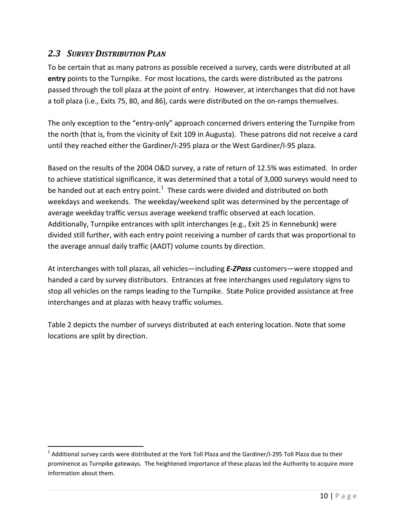# <span id="page-9-0"></span>*2.3 SURVEY DISTRIBUTION PLAN*

To be certain that as many patrons as possible received a survey, cards were distributed at all **entry** points to the Turnpike. For most locations, the cards were distributed as the patrons passed through the toll plaza at the point of entry. However, at interchanges that did not have a toll plaza (i.e., Exits 75, 80, and 86), cards were distributed on the on-ramps themselves.

The only exception to the "entry-only" approach concerned drivers entering the Turnpike from the north (that is, from the vicinity of Exit 109 in Augusta). These patrons did not receive a card until they reached either the Gardiner/I-295 plaza or the West Gardiner/I-95 plaza.

Based on the results of the 2004 O&D survey, a rate of return of 12.5% was estimated. In order to achieve statistical significance, it was determined that a total of 3,000 surveys would need to be handed out at each entry point.<sup>[1](#page-9-1)</sup> These cards were divided and distributed on both weekdays and weekends. The weekday/weekend split was determined by the percentage of average weekday traffic versus average weekend traffic observed at each location. Additionally, Turnpike entrances with split interchanges (e.g., Exit 25 in Kennebunk) were divided still further, with each entry point receiving a number of cards that was proportional to the average annual daily traffic (AADT) volume counts by direction.

At interchanges with toll plazas, all vehicles—including *E-ZPass* customers—were stopped and handed a card by survey distributors. Entrances at free interchanges used regulatory signs to stop all vehicles on the ramps leading to the Turnpike. State Police provided assistance at free interchanges and at plazas with heavy traffic volumes.

[Table 2](#page-10-2) depicts the number of surveys distributed at each entering location. Note that some locations are split by direction.

<span id="page-9-1"></span> $1$  Additional survey cards were distributed at the York Toll Plaza and the Gardiner/I-295 Toll Plaza due to their prominence as Turnpike gateways. The heightened importance of these plazas led the Authority to acquire more information about them.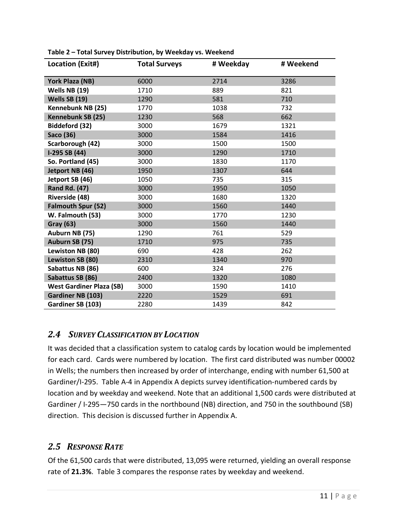| Location (Exit#)                | <b>Total Surveys</b> | # Weekday | # Weekend |
|---------------------------------|----------------------|-----------|-----------|
| York Plaza (NB)                 | 6000                 | 2714      | 3286      |
| Wells NB (19)                   | 1710                 | 889       | 821       |
| Wells SB (19)                   | 1290                 | 581       | 710       |
| Kennebunk NB (25)               | 1770                 | 1038      | 732       |
| Kennebunk SB (25)               | 1230                 | 568       | 662       |
| <b>Biddeford (32)</b>           | 3000                 | 1679      | 1321      |
| Saco (36)                       | 3000                 | 1584      | 1416      |
| Scarborough (42)                | 3000                 | 1500      | 1500      |
| $I-295$ SB $(44)$               | 3000                 | 1290      | 1710      |
| So. Portland (45)               | 3000                 | 1830      | 1170      |
| Jetport NB (46)                 | 1950                 | 1307      | 644       |
| Jetport SB (46)                 | 1050                 | 735       | 315       |
| <b>Rand Rd. (47)</b>            | 3000                 | 1950      | 1050      |
| Riverside (48)                  | 3000                 | 1680      | 1320      |
| <b>Falmouth Spur (52)</b>       | 3000                 | 1560      | 1440      |
| W. Falmouth (53)                | 3000                 | 1770      | 1230      |
| <b>Gray (63)</b>                | 3000                 | 1560      | 1440      |
| Auburn NB (75)                  | 1290                 | 761       | 529       |
| Auburn SB (75)                  | 1710                 | 975       | 735       |
| Lewiston NB (80)                | 690                  | 428       | 262       |
| Lewiston SB (80)                | 2310                 | 1340      | 970       |
| Sabattus NB (86)                | 600                  | 324       | 276       |
| Sabattus SB (86)                | 2400                 | 1320      | 1080      |
| <b>West Gardiner Plaza (SB)</b> | 3000                 | 1590      | 1410      |
| Gardiner NB (103)               | 2220                 | 1529      | 691       |
| Gardiner SB (103)               | 2280                 | 1439      | 842       |

<span id="page-10-2"></span>**Table 2 – Total Survey Distribution, by Weekday vs. Weekend**

### <span id="page-10-0"></span>*2.4 SURVEY CLASSIFICATION BY LOCATION*

It was decided that a classification system to catalog cards by location would be implemented for each card. Cards were numbered by location. The first card distributed was number 00002 in Wells; the numbers then increased by order of interchange, ending with number 61,500 at Gardiner/I-295. [Table A-4](#page-55-0) in [Appendix A](#page-48-0) depicts survey identification-numbered cards by location and by weekday and weekend. Note that an additional 1,500 cards were distributed at Gardiner / I-295—750 cards in the northbound (NB) direction, and 750 in the southbound (SB) direction. This decision is discussed further in [Appendix A.](#page-48-0)

### <span id="page-10-1"></span>*2.5 RESPONSE RATE*

Of the 61,500 cards that were distributed, 13,095 were returned, yielding an overall response rate of **21.3%**. [Table 3](#page-11-0) compares the response rates by weekday and weekend.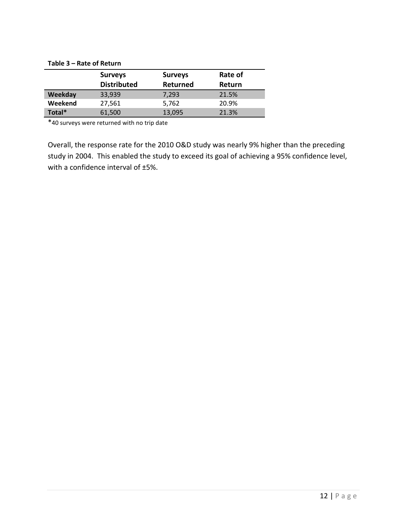<span id="page-11-0"></span>

| Table 3 - Rate of Return |                    |                |         |  |  |  |
|--------------------------|--------------------|----------------|---------|--|--|--|
|                          | <b>Surveys</b>     | <b>Surveys</b> | Rate of |  |  |  |
|                          | <b>Distributed</b> | Returned       | Return  |  |  |  |
| Weekday                  | 33,939             | 7,293          | 21.5%   |  |  |  |
| Weekend                  | 27,561             | 5,762          | 20.9%   |  |  |  |
| Total*                   | 61,500             | 13,095         | 21.3%   |  |  |  |

\*40 surveys were returned with no trip date

Overall, the response rate for the 2010 O&D study was nearly 9% higher than the preceding study in 2004. This enabled the study to exceed its goal of achieving a 95% confidence level, with a confidence interval of ±5%.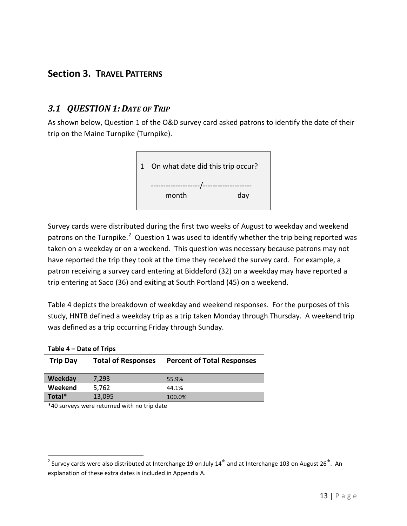# <span id="page-12-0"></span>**Section 3. TRAVEL PATTERNS**

### <span id="page-12-1"></span>*3.1 QUESTION 1: DATE OF TRIP*

As shown below, Question 1 of the O&D survey card asked patrons to identify the date of their trip on the Maine Turnpike (Turnpike).



Survey cards were distributed during the first two weeks of August to weekday and weekend patrons on the Turnpike.<sup>[2](#page-12-3)</sup> Question 1 was used to identify whether the trip being reported was taken on a weekday or on a weekend. This question was necessary because patrons may not have reported the trip they took at the time they received the survey card. For example, a patron receiving a survey card entering at Biddeford (32) on a weekday may have reported a trip entering at Saco (36) and exiting at South Portland (45) on a weekend.

[Table 4](#page-12-2) depicts the breakdown of weekday and weekend responses. For the purposes of this study, HNTB defined a weekday trip as a trip taken Monday through Thursday. A weekend trip was defined as a trip occurring Friday through Sunday.

| Table 4 – Date of Trips |                           |                                   |
|-------------------------|---------------------------|-----------------------------------|
| <b>Trip Day</b>         | <b>Total of Responses</b> | <b>Percent of Total Responses</b> |
|                         |                           |                                   |
| Weekday                 | 7,293                     | 55.9%                             |
| Weekend                 | 5,762                     | 44.1%                             |
| Total*                  | 13,095                    | 100.0%                            |
|                         |                           |                                   |

\*40 surveys were returned with no trip date

<span id="page-12-2"></span>**Table 4 – Date of Trips**

<span id="page-12-3"></span><sup>&</sup>lt;sup>2</sup> Survey cards were also distributed at Interchange 19 on July 14<sup>th</sup> and at Interchange 103 on August 26<sup>th</sup>. An explanation of these extra dates is included i[n Appendix A.](#page-48-0)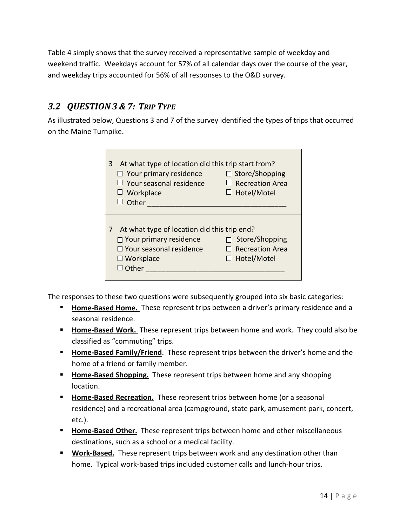[Table 4](#page-12-2) simply shows that the survey received a representative sample of weekday and weekend traffic. Weekdays account for 57% of all calendar days over the course of the year, and weekday trips accounted for 56% of all responses to the O&D survey.

# <span id="page-13-0"></span>*3.2 QUESTION 3 & 7: TRIP TYPE*

As illustrated below, Questions 3 and 7 of the survey identified the types of trips that occurred on the Maine Turnpike.

| At what type of location did this trip start from?<br>3<br>$\Box$ Your primary residence<br>$\Box$ Your seasonal residence<br>Workplace<br>ப<br>Other   | $\Box$ Store/Shopping<br>$\Box$ Recreation Area<br>Hotel/Motel   |
|---------------------------------------------------------------------------------------------------------------------------------------------------------|------------------------------------------------------------------|
| At what type of location did this trip end?<br>7<br>$\Box$ Your primary residence<br>$\Box$ Your seasonal residence<br>$\Box$ Workplace<br>$\Box$ Other | Store/Shopping<br>$\sqcap$ Recreation Area<br>$\Box$ Hotel/Motel |

The responses to these two questions were subsequently grouped into six basic categories:

- **Home-Based Home.** These represent trips between a driver's primary residence and a seasonal residence.
- **Home-Based Work.** These represent trips between home and work. They could also be classified as "commuting" trips.
- **Home-Based Family/Friend**. These represent trips between the driver's home and the home of a friend or family member.
- **Home-Based Shopping.** These represent trips between home and any shopping location.
- **Home-Based Recreation.** These represent trips between home (or a seasonal residence) and a recreational area (campground, state park, amusement park, concert, etc.).
- **Home-Based Other.** These represent trips between home and other miscellaneous destinations, such as a school or a medical facility.
- **Work-Based.** These represent trips between work and any destination other than home. Typical work-based trips included customer calls and lunch-hour trips.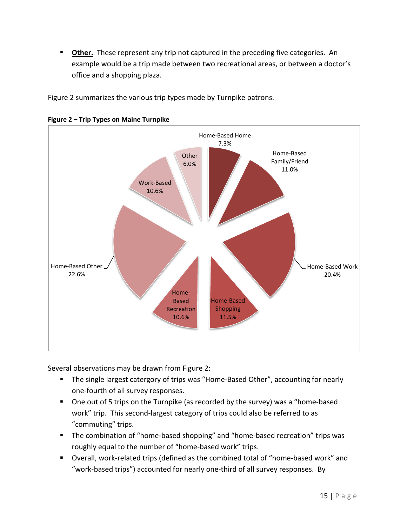**Dther.** These represent any trip not captured in the preceding five categories. An example would be a trip made between two recreational areas, or between a doctor's office and a shopping plaza.

[Figure 2](#page-14-0) summarizes the various trip types made by Turnpike patrons.



<span id="page-14-0"></span>**Figure 2 – Trip Types on Maine Turnpike**

Several observations may be drawn from [Figure 2:](#page-14-0)

- The single largest catergory of trips was "Home-Based Other", accounting for nearly one-fourth of all survey responses.
- One out of 5 trips on the Turnpike (as recorded by the survey) was a "home-based work" trip. This second-largest category of trips could also be referred to as "commuting" trips.
- **The combination of "home-based shopping" and "home-based recreation" trips was** roughly equal to the number of "home-based work" trips.
- Overall, work-related trips (defined as the combined total of "home-based work" and "work-based trips") accounted for nearly one-third of all survey responses. By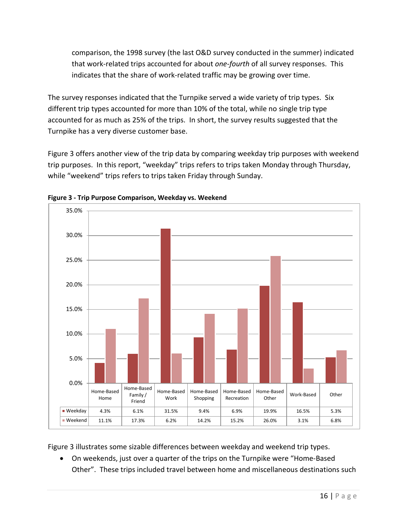comparison, the 1998 survey (the last O&D survey conducted in the summer) indicated that work-related trips accounted for about *one-fourth* of all survey responses. This indicates that the share of work-related traffic may be growing over time.

The survey responses indicated that the Turnpike served a wide variety of trip types. Six different trip types accounted for more than 10% of the total, while no single trip type accounted for as much as 25% of the trips. In short, the survey results suggested that the Turnpike has a very diverse customer base.

[Figure 3](#page-15-0) offers another view of the trip data by comparing weekday trip purposes with weekend trip purposes. In this report, "weekday" trips refers to trips taken Monday through Thursday, while "weekend" trips refers to trips taken Friday through Sunday.



<span id="page-15-0"></span>**Figure 3 - Trip Purpose Comparison, Weekday vs. Weekend**

[Figure 3](#page-15-0) illustrates some sizable differences between weekday and weekend trip types.

• On weekends, just over a quarter of the trips on the Turnpike were "Home-Based Other". These trips included travel between home and miscellaneous destinations such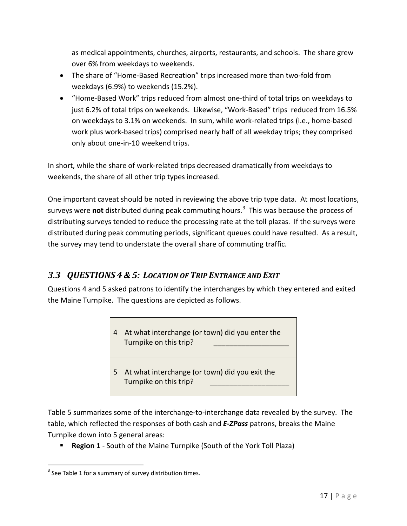as medical appointments, churches, airports, restaurants, and schools. The share grew over 6% from weekdays to weekends.

- The share of "Home-Based Recreation" trips increased more than two-fold from weekdays (6.9%) to weekends (15.2%).
- "Home-Based Work" trips reduced from almost one-third of total trips on weekdays to just 6.2% of total trips on weekends. Likewise, "Work-Based" trips reduced from 16.5% on weekdays to 3.1% on weekends. In sum, while work-related trips (i.e., home-based work plus work-based trips) comprised nearly half of all weekday trips; they comprised only about one-in-10 weekend trips.

In short, while the share of work-related trips decreased dramatically from weekdays to weekends, the share of all other trip types increased.

One important caveat should be noted in reviewing the above trip type data. At most locations, surveys were **not** distributed during peak commuting hours. [3](#page-16-1) This was because the process of distributing surveys tended to reduce the processing rate at the toll plazas. If the surveys were distributed during peak commuting periods, significant queues could have resulted. As a result, the survey may tend to understate the overall share of commuting traffic.

# <span id="page-16-0"></span>*3.3 QUESTIONS 4 & 5: LOCATION OF TRIP ENTRANCE AND EXIT*

Questions 4 and 5 asked patrons to identify the interchanges by which they entered and exited the Maine Turnpike. The questions are depicted as follows.



[Table 5](#page-18-0) summarizes some of the interchange-to-interchange data revealed by the survey. The table, which reflected the responses of both cash and *E-ZPass* patrons, breaks the Maine Turnpike down into 5 general areas:

**Region 1** - South of the Maine Turnpike (South of the York Toll Plaza)

<span id="page-16-1"></span> $3$  See [Table 1](#page-8-1) for a summary of survey distribution times.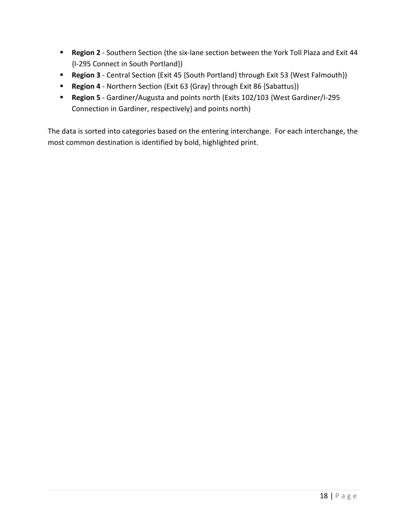- **Region 2** Southern Section (the six-lane section between the York Toll Plaza and Exit 44 {I-295 Connect in South Portland})
- **Region 3** Central Section (Exit 45 {South Portland} through Exit 53 {West Falmouth})
- **Region 4** Northern Section (Exit 63 {Gray} through Exit 86 {Sabattus})
- **Region 5** Gardiner/Augusta and points north (Exits 102/103 {West Gardiner/I-295 Connection in Gardiner, respectively} and points north)

The data is sorted into categories based on the entering interchange. For each interchange, the most common destination is identified by bold, highlighted print.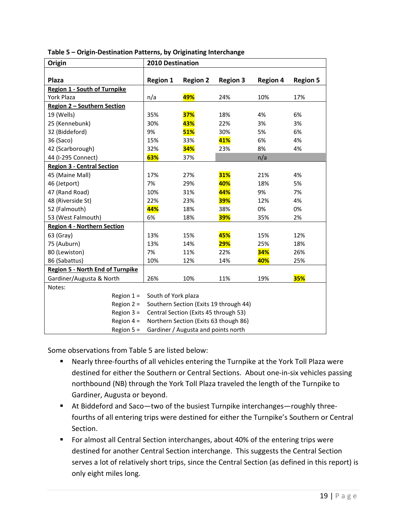| Origin                                  | 2010 Destination                      |                                       |                                        |                 |                 |
|-----------------------------------------|---------------------------------------|---------------------------------------|----------------------------------------|-----------------|-----------------|
|                                         |                                       |                                       |                                        |                 |                 |
| <b>Plaza</b>                            | <b>Region 1</b>                       | <b>Region 2</b>                       | <b>Region 3</b>                        | <b>Region 4</b> | <b>Region 5</b> |
| <b>Region 1 - South of Turnpike</b>     |                                       |                                       |                                        |                 |                 |
| York Plaza                              | n/a                                   | 49%                                   | 24%                                    | 10%             | 17%             |
| Region 2 - Southern Section             |                                       |                                       |                                        |                 |                 |
| 19 (Wells)                              | 35%                                   | 37%                                   | 18%                                    | 4%              | 6%              |
| 25 (Kennebunk)                          | 30%                                   | 43%                                   | 22%                                    | 3%              | 3%              |
| 32 (Biddeford)                          | 9%                                    | 51%                                   | 30%                                    | 5%              | 6%              |
| 36 (Saco)                               | 15%                                   | 33%                                   | 41%                                    | 6%              | 4%              |
| 42 (Scarborough)                        | 32%                                   | 34%                                   | 23%                                    | 8%              | 4%              |
| 44 (I-295 Connect)                      | 63%                                   | 37%                                   |                                        | n/a             |                 |
| <b>Region 3 - Central Section</b>       |                                       |                                       |                                        |                 |                 |
| 45 (Maine Mall)                         | 17%                                   | 27%                                   | <b>31%</b>                             | 21%             | 4%              |
| 46 (Jetport)                            | 7%                                    | 29%                                   | 40%                                    | 18%             | 5%              |
| 47 (Rand Road)                          | 10%                                   | 31%                                   | 44%                                    | 9%              | 7%              |
| 48 (Riverside St)                       | 22%                                   | 23%                                   | <b>39%</b>                             | 12%             | 4%              |
| 52 (Falmouth)                           | 44%                                   | 18%                                   | 38%                                    | 0%              | 0%              |
| 53 (West Falmouth)                      | 6%                                    | 18%                                   | <b>39%</b>                             | 35%             | 2%              |
| <b>Region 4 - Northern Section</b>      |                                       |                                       |                                        |                 |                 |
| 63 (Gray)                               | 13%                                   | 15%                                   | 45%                                    | 15%             | 12%             |
| 75 (Auburn)                             | 13%                                   | 14%                                   | <b>29%</b>                             | 25%             | 18%             |
| 80 (Lewiston)                           | 7%                                    | 11%                                   | 22%                                    | 34%             | 26%             |
| 86 (Sabattus)                           | 10%                                   | 12%                                   | 14%                                    | 40%             | 25%             |
| <b>Region 5 - North End of Turnpike</b> |                                       |                                       |                                        |                 |                 |
| Gardiner/Augusta & North                | 26%                                   | 10%                                   | 11%                                    | 19%             | <b>35%</b>      |
| Notes:                                  |                                       |                                       |                                        |                 |                 |
| Region $1 =$                            | South of York plaza                   |                                       |                                        |                 |                 |
| Region $2 =$                            |                                       |                                       | Southern Section (Exits 19 through 44) |                 |                 |
| Region $3 =$                            |                                       | Central Section (Exits 45 through 53) |                                        |                 |                 |
| Region $4 =$                            | Northern Section (Exits 63 though 86) |                                       |                                        |                 |                 |
| Region $5 =$                            |                                       | Gardiner / Augusta and points north   |                                        |                 |                 |

<span id="page-18-0"></span>**Table 5 – Origin-Destination Patterns, by Originating Interchange**

Some observations from [Table 5](#page-18-0) are listed below:

- Nearly three-fourths of all vehicles entering the Turnpike at the York Toll Plaza were destined for either the Southern or Central Sections. About one-in-six vehicles passing northbound (NB) through the York Toll Plaza traveled the length of the Turnpike to Gardiner, Augusta or beyond.
- At Biddeford and Saco—two of the busiest Turnpike interchanges—roughly threefourths of all entering trips were destined for either the Turnpike's Southern or Central Section.
- **For almost all Central Section interchanges, about 40% of the entering trips were** destined for another Central Section interchange. This suggests the Central Section serves a lot of relatively short trips, since the Central Section (as defined in this report) is only eight miles long.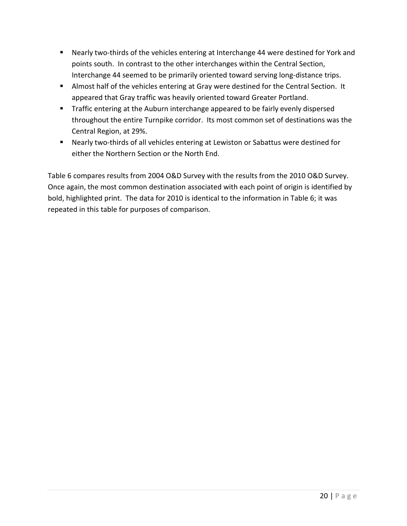- Nearly two-thirds of the vehicles entering at Interchange 44 were destined for York and points south. In contrast to the other interchanges within the Central Section, Interchange 44 seemed to be primarily oriented toward serving long-distance trips.
- **Almost half of the vehicles entering at Gray were destined for the Central Section. It** appeared that Gray traffic was heavily oriented toward Greater Portland.
- **Traffic entering at the Auburn interchange appeared to be fairly evenly dispersed** throughout the entire Turnpike corridor. Its most common set of destinations was the Central Region, at 29%.
- Nearly two-thirds of all vehicles entering at Lewiston or Sabattus were destined for either the Northern Section or the North End.

[Table 6](#page-20-0) compares results from 2004 O&D Survey with the results from the 2010 O&D Survey. Once again, the most common destination associated with each point of origin is identified by bold, highlighted print. The data for 2010 is identical to the information in [Table 6;](#page-20-0) it was repeated in this table for purposes of comparison.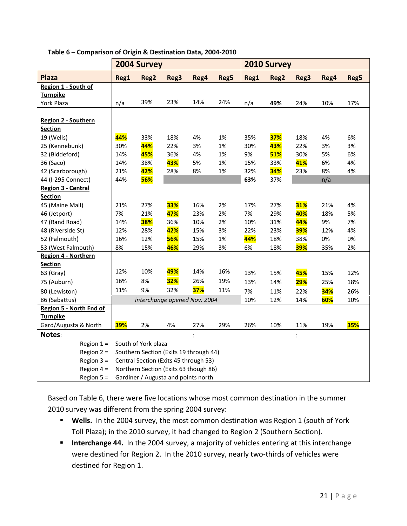|                                | 2004 Survey                           |                                        |            |            |      | 2010 Survey |            |                |      |            |
|--------------------------------|---------------------------------------|----------------------------------------|------------|------------|------|-------------|------------|----------------|------|------------|
| <b>Plaza</b>                   | Reg1                                  | Reg2                                   | Reg3       | Reg4       | Reg5 | Reg1        | Reg2       | Reg3           | Reg4 | Reg5       |
| Region 1 - South of            |                                       |                                        |            |            |      |             |            |                |      |            |
| <b>Turnpike</b>                |                                       |                                        |            |            |      |             |            |                |      |            |
| York Plaza                     | n/a                                   | 39%                                    | 23%        | 14%        | 24%  | n/a         | 49%        | 24%            | 10%  | 17%        |
|                                |                                       |                                        |            |            |      |             |            |                |      |            |
| Region 2 - Southern            |                                       |                                        |            |            |      |             |            |                |      |            |
| <b>Section</b>                 |                                       |                                        |            |            |      |             |            |                |      |            |
| 19 (Wells)                     | 44%                                   | 33%                                    | 18%        | 4%         | 1%   | 35%         | <b>37%</b> | 18%            | 4%   | 6%         |
| 25 (Kennebunk)                 | 30%                                   | 44%                                    | 22%        | 3%         | 1%   | 30%         | 43%        | 22%            | 3%   | 3%         |
| 32 (Biddeford)                 | 14%                                   | 45%                                    | 36%        | 4%         | 1%   | 9%          | <b>51%</b> | 30%            | 5%   | 6%         |
| 36 (Saco)                      | 14%                                   | 38%                                    | 43%        | 5%         | 1%   | 15%         | 33%        | 41%            | 6%   | 4%         |
| 42 (Scarborough)               | 21%                                   | 42%                                    | 28%        | 8%         | 1%   | 32%         | 34%        | 23%            | 8%   | 4%         |
| 44 (I-295 Connect)             | 44%                                   | <b>56%</b>                             |            |            |      | 63%         | 37%        |                | n/a  |            |
| Region 3 - Central             |                                       |                                        |            |            |      |             |            |                |      |            |
| <b>Section</b>                 |                                       |                                        |            |            |      |             |            |                |      |            |
| 45 (Maine Mall)                | 21%                                   | 27%                                    | <b>33%</b> | 16%        | 2%   | 17%         | 27%        | <b>31%</b>     | 21%  | 4%         |
| 46 (Jetport)                   | 7%                                    | 21%                                    | 47%        | 23%        | 2%   | 7%          | 29%        | 40%            | 18%  | 5%         |
| 47 (Rand Road)                 | 14%                                   | <b>38%</b>                             | 36%        | 10%        | 2%   | 10%         | 31%        | 44%            | 9%   | 7%         |
| 48 (Riverside St)              | 12%                                   | 28%                                    | 42%        | 15%        | 3%   | 22%         | 23%        | <b>39%</b>     | 12%  | 4%         |
| 52 (Falmouth)                  | 16%                                   | 12%                                    | 56%        | 15%        | 1%   | 44%         | 18%        | 38%            | 0%   | 0%         |
| 53 (West Falmouth)             | 8%                                    | 15%                                    | 46%        | 29%        | 3%   | 6%          | 18%        | <b>39%</b>     | 35%  | 2%         |
| Region 4 - Northern            |                                       |                                        |            |            |      |             |            |                |      |            |
| <b>Section</b>                 |                                       |                                        |            |            |      |             |            |                |      |            |
| 63 (Gray)                      | 12%                                   | 10%                                    | 49%        | 14%        | 16%  | 13%         | 15%        | 45%            | 15%  | 12%        |
| 75 (Auburn)                    | 16%                                   | 8%                                     | <b>32%</b> | 26%        | 19%  | 13%         | 14%        | <b>29%</b>     | 25%  | 18%        |
| 80 (Lewiston)                  | 11%                                   | 9%                                     | 32%        | <b>37%</b> | 11%  | 7%          | 11%        | 22%            | 34%  | 26%        |
| 86 (Sabattus)                  |                                       | interchange opened Nov. 2004           |            |            |      | 10%         | 12%        | 14%            | 60%  | 10%        |
| <b>Region 5 - North End of</b> |                                       |                                        |            |            |      |             |            |                |      |            |
| <b>Turnpike</b>                |                                       |                                        |            |            |      |             |            |                |      |            |
| Gard/Augusta & North           | <b>39%</b>                            | 2%                                     | 4%         | 27%        | 29%  | 26%         | 10%        | 11%            | 19%  | <b>35%</b> |
| Notes:                         |                                       |                                        |            | $\cdot$    |      |             |            | $\ddot{\cdot}$ |      |            |
| Region $1 =$                   |                                       | South of York plaza                    |            |            |      |             |            |                |      |            |
| Region $2 =$                   |                                       | Southern Section (Exits 19 through 44) |            |            |      |             |            |                |      |            |
| Region $3 =$                   |                                       | Central Section (Exits 45 through 53)  |            |            |      |             |            |                |      |            |
| Region $4 =$                   | Northern Section (Exits 63 though 86) |                                        |            |            |      |             |            |                |      |            |
| Region $5 =$                   |                                       | Gardiner / Augusta and points north    |            |            |      |             |            |                |      |            |

### <span id="page-20-0"></span>**Table 6 – Comparison of Origin & Destination Data, 2004-2010**

Based on [Table 6,](#page-20-0) there were five locations whose most common destination in the summer 2010 survey was different from the spring 2004 survey:

- **Wells.** In the 2004 survey, the most common destination was Region 1 (south of York Toll Plaza); in the 2010 survey, it had changed to Region 2 (Southern Section).
- **Interchange 44.** In the 2004 survey, a majority of vehicles entering at this interchange were destined for Region 2. In the 2010 survey, nearly two-thirds of vehicles were destined for Region 1.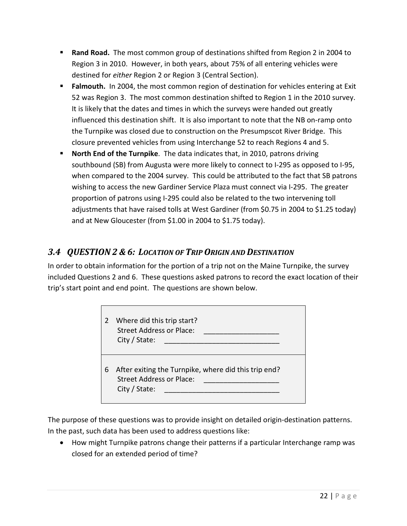- **Rand Road.** The most common group of destinations shifted from Region 2 in 2004 to Region 3 in 2010. However, in both years, about 75% of all entering vehicles were destined for *either* Region 2 or Region 3 (Central Section).
- **Falmouth.** In 2004, the most common region of destination for vehicles entering at Exit 52 was Region 3. The most common destination shifted to Region 1 in the 2010 survey. It is likely that the dates and times in which the surveys were handed out greatly influenced this destination shift. It is also important to note that the NB on-ramp onto the Turnpike was closed due to construction on the Presumpscot River Bridge. This closure prevented vehicles from using Interchange 52 to reach Regions 4 and 5.
- **North End of the Turnpike**. The data indicates that, in 2010, patrons driving southbound (SB) from Augusta were more likely to connect to I-295 as opposed to I-95, when compared to the 2004 survey. This could be attributed to the fact that SB patrons wishing to access the new Gardiner Service Plaza must connect via I-295. The greater proportion of patrons using I-295 could also be related to the two intervening toll adjustments that have raised tolls at West Gardiner (from \$0.75 in 2004 to \$1.25 today) and at New Gloucester (from \$1.00 in 2004 to \$1.75 today).

# <span id="page-21-0"></span>*3.4 QUESTION 2 & 6: LOCATION OF TRIP ORIGIN AND DESTINATION*

In order to obtain information for the portion of a trip not on the Maine Turnpike, the survey included Questions 2 and 6. These questions asked patrons to record the exact location of their trip's start point and end point. The questions are shown below.

| 2 | Where did this trip start?<br><b>Street Address or Place:</b><br>City / State:                    |
|---|---------------------------------------------------------------------------------------------------|
| 6 | After exiting the Turnpike, where did this trip end?<br>Street Address or Place:<br>City / State: |

The purpose of these questions was to provide insight on detailed origin-destination patterns. In the past, such data has been used to address questions like:

• How might Turnpike patrons change their patterns if a particular Interchange ramp was closed for an extended period of time?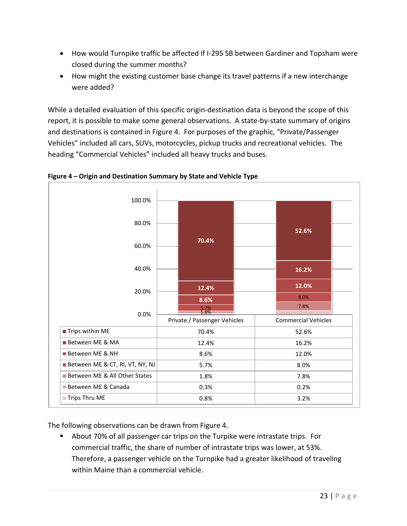- How would Turnpike traffic be affected if I-295 SB between Gardiner and Topsham were closed during the summer months?
- How might the existing customer base change its travel patterns if a new interchange were added?

While a detailed evaluation of this specific origin-destination data is beyond the scope of this report, it is possible to make some general observations. A state-by-state summary of origins and destinations is contained in [Figure 4.](#page-22-0) For purposes of the graphic, "Private/Passenger Vehicles" included all cars, SUVs, motorcycles, pickup trucks and recreational vehicles. The heading "Commercial Vehicles" included all heavy trucks and buses.



<span id="page-22-0"></span>**Figure 4 – Origin and Destination Summary by State and Vehicle Type**

The following observations can be drawn from [Figure 4.](#page-22-0)

 About 70% of all passenger car trips on the Turpike were intrastate trips. For commercial traffic, the share of number of intrastate trips was lower, at 53%. Therefore, a passenger vehicle on the Turnpike had a greater likelihood of traveling within Maine than a commercial vehicle.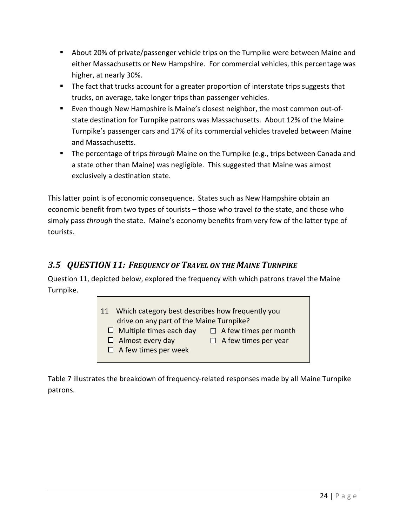- About 20% of private/passenger vehicle trips on the Turnpike were between Maine and either Massachusetts or New Hampshire. For commercial vehicles, this percentage was higher, at nearly 30%.
- The fact that trucks account for a greater proportion of interstate trips suggests that trucks, on average, take longer trips than passenger vehicles.
- **Even though New Hampshire is Maine's closest neighbor, the most common out-of**state destination for Turnpike patrons was Massachusetts. About 12% of the Maine Turnpike's passenger cars and 17% of its commercial vehicles traveled between Maine and Massachusetts.
- The percentage of trips *through* Maine on the Turnpike (e.g., trips between Canada and a state other than Maine) was negligible. This suggested that Maine was almost exclusively a destination state.

This latter point is of economic consequence. States such as New Hampshire obtain an economic benefit from two types of tourists – those who travel *to* the state, and those who simply pass *through* the state. Maine's economy benefits from very few of the latter type of tourists.

### <span id="page-23-0"></span>*3.5 QUESTION 11: FREQUENCY OF TRAVEL ON THE MAINE TURNPIKE*

Question 11, depicted below, explored the frequency with which patrons travel the Maine Turnpike.

| Which category best describes how frequently you<br><b>11</b> |                              |  |  |
|---------------------------------------------------------------|------------------------------|--|--|
| drive on any part of the Maine Turnpike?                      |                              |  |  |
| $\Box$ Multiple times each day                                | $\Box$ A few times per month |  |  |
| $\Box$ Almost every day                                       | $\Box$ A few times per year  |  |  |
| $\Box$ A few times per week                                   |                              |  |  |
|                                                               |                              |  |  |

[Table 7](#page-24-0) illustrates the breakdown of frequency-related responses made by all Maine Turnpike patrons.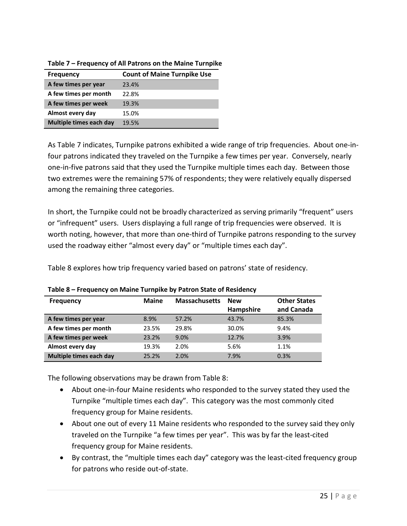| <b>Frequency</b>        | <b>Count of Maine Turnpike Use</b> |
|-------------------------|------------------------------------|
| A few times per year    | 23.4%                              |
| A few times per month   | 22.8%                              |
| A few times per week    | 19.3%                              |
| Almost every day        | 15.0%                              |
| Multiple times each day | 19.5%                              |

<span id="page-24-0"></span>**Table 7 – Frequency of All Patrons on the Maine Turnpike**

As [Table 7](#page-24-0) indicates, Turnpike patrons exhibited a wide range of trip frequencies. About one-infour patrons indicated they traveled on the Turnpike a few times per year. Conversely, nearly one-in-five patrons said that they used the Turnpike multiple times each day. Between those two extremes were the remaining 57% of respondents; they were relatively equally dispersed among the remaining three categories.

In short, the Turnpike could not be broadly characterized as serving primarily "frequent" users or "infrequent" users. Users displaying a full range of trip frequencies were observed. It is worth noting, however, that more than one-third of Turnpike patrons responding to the survey used the roadway either "almost every day" or "multiple times each day".

[Table 8](#page-24-1) explores how trip frequency varied based on patrons' state of residency.

| <b>Frequency</b>        | <b>Maine</b> | <b>Massachusetts</b> | <b>New</b> | <b>Other States</b> |
|-------------------------|--------------|----------------------|------------|---------------------|
|                         |              |                      | Hampshire  | and Canada          |
| A few times per year    | 8.9%         | 57.2%                | 43.7%      | 85.3%               |
| A few times per month   | 23.5%        | 29.8%                | 30.0%      | 9.4%                |
| A few times per week    | 23.2%        | 9.0%                 | 12.7%      | 3.9%                |
| Almost every day        | 19.3%        | 2.0%                 | 5.6%       | 1.1%                |
| Multiple times each day | 25.2%        | 2.0%                 | 7.9%       | 0.3%                |

<span id="page-24-1"></span>**Table 8 – Frequency on Maine Turnpike by Patron State of Residency**

The following observations may be drawn from [Table 8:](#page-24-1)

- About one-in-four Maine residents who responded to the survey stated they used the Turnpike "multiple times each day". This category was the most commonly cited frequency group for Maine residents.
- About one out of every 11 Maine residents who responded to the survey said they only traveled on the Turnpike "a few times per year". This was by far the least-cited frequency group for Maine residents.
- By contrast, the "multiple times each day" category was the least-cited frequency group for patrons who reside out-of-state.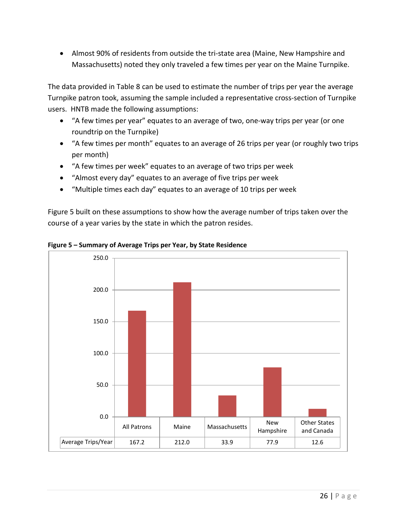• Almost 90% of residents from outside the tri-state area (Maine, New Hampshire and Massachusetts) noted they only traveled a few times per year on the Maine Turnpike.

The data provided in [Table 8](#page-24-1) can be used to estimate the number of trips per year the average Turnpike patron took, assuming the sample included a representative cross-section of Turnpike users. HNTB made the following assumptions:

- "A few times per year" equates to an average of two, one-way trips per year (or one roundtrip on the Turnpike)
- "A few times per month" equates to an average of 26 trips per year (or roughly two trips per month)
- "A few times per week" equates to an average of two trips per week
- "Almost every day" equates to an average of five trips per week
- "Multiple times each day" equates to an average of 10 trips per week

[Figure 5](#page-25-0) built on these assumptions to show how the average number of trips taken over the course of a year varies by the state in which the patron resides.



<span id="page-25-0"></span>**Figure 5 – Summary of Average Trips per Year, by State Residence**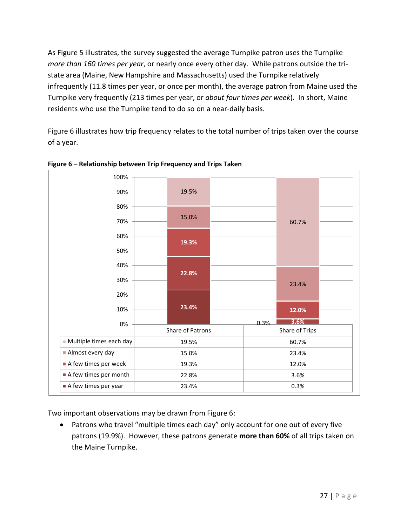As [Figure 5](#page-25-0) illustrates, the survey suggested the average Turnpike patron uses the Turnpike *more than 160 times per year*, or nearly once every other day. While patrons outside the tristate area (Maine, New Hampshire and Massachusetts) used the Turnpike relatively infrequently (11.8 times per year, or once per month), the average patron from Maine used the Turnpike very frequently (213 times per year, or *about four times per week*). In short, Maine residents who use the Turnpike tend to do so on a near-daily basis.

[Figure 6](#page-26-0) illustrates how trip frequency relates to the total number of trips taken over the course of a year.

![](_page_26_Figure_2.jpeg)

<span id="page-26-0"></span>**Figure 6 – Relationship between Trip Frequency and Trips Taken**

Two important observations may be drawn fro[m Figure 6:](#page-26-0)

• Patrons who travel "multiple times each day" only account for one out of every five patrons (19.9%). However, these patrons generate **more than 60%** of all trips taken on the Maine Turnpike.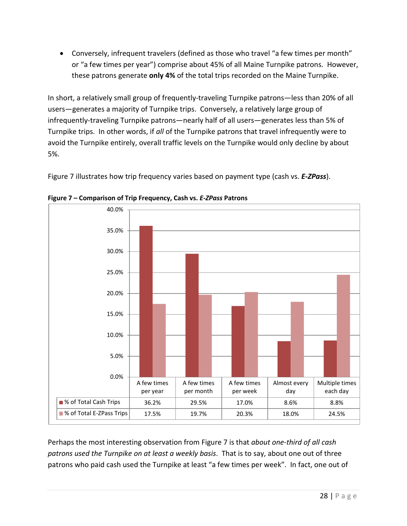• Conversely, infrequent travelers (defined as those who travel "a few times per month" or "a few times per year") comprise about 45% of all Maine Turnpike patrons. However, these patrons generate **only 4%** of the total trips recorded on the Maine Turnpike.

In short, a relatively small group of frequently-traveling Turnpike patrons—less than 20% of all users—generates a majority of Turnpike trips. Conversely, a relatively large group of infrequently-traveling Turnpike patrons—nearly half of all users—generates less than 5% of Turnpike trips. In other words, if *all* of the Turnpike patrons that travel infrequently were to avoid the Turnpike entirely, overall traffic levels on the Turnpike would only decline by about 5%.

[Figure 7](#page-27-0) illustrates how trip frequency varies based on payment type (cash vs. *E-ZPass*).

![](_page_27_Figure_3.jpeg)

<span id="page-27-0"></span>**Figure 7 – Comparison of Trip Frequency, Cash vs.** *E-ZPass* **Patrons**

Perhaps the most interesting observation from [Figure 7](#page-27-0) is that *about one-third of all cash patrons used the Turnpike on at least a weekly basis*. That is to say, about one out of three patrons who paid cash used the Turnpike at least "a few times per week". In fact, one out of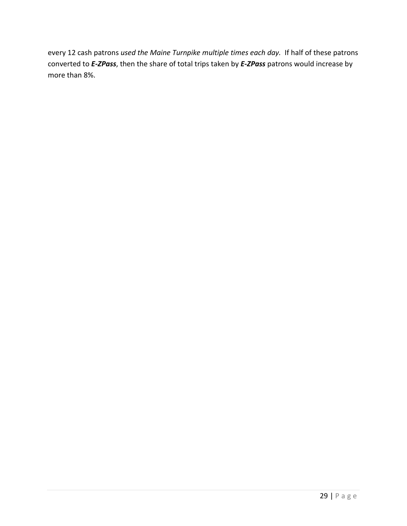every 12 cash patrons *used the Maine Turnpike multiple times each day.* If half of these patrons converted to *E-ZPass*, then the share of total trips taken by *E-ZPass* patrons would increase by more than 8%.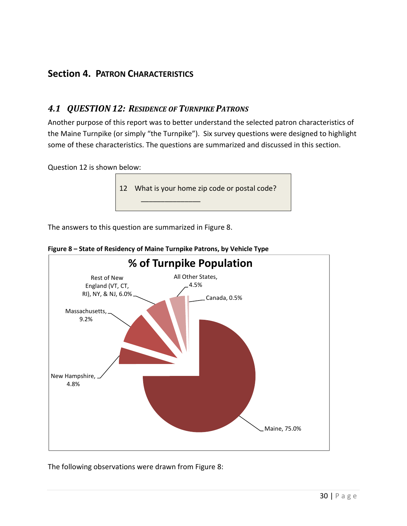# <span id="page-29-0"></span>**Section 4. PATRON CHARACTERISTICS**

### <span id="page-29-1"></span>*4.1 QUESTION 12: RESIDENCE OF TURNPIKE PATRONS*

Another purpose of this report was to better understand the selected patron characteristics of the Maine Turnpike (or simply "the Turnpike"). Six survey questions were designed to highlight some of these characteristics. The questions are summarized and discussed in this section.

Question 12 is shown below:

![](_page_29_Picture_4.jpeg)

The answers to this question are summarized i[n Figure 8.](#page-29-2)

![](_page_29_Figure_6.jpeg)

<span id="page-29-2"></span>**Figure 8 – State of Residency of Maine Turnpike Patrons, by Vehicle Type**

The following observations were drawn from [Figure 8:](#page-29-2)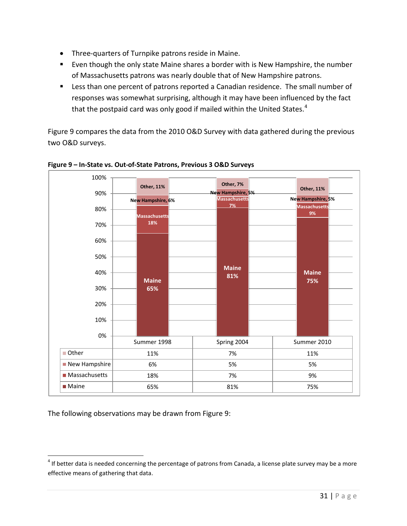- Three-quarters of Turnpike patrons reside in Maine.
- **Exen though the only state Maine shares a border with is New Hampshire, the number** of Massachusetts patrons was nearly double that of New Hampshire patrons.
- **Less than one percent of patrons reported a Canadian residence. The small number of** responses was somewhat surprising, although it may have been influenced by the fact that the postpaid card was only good if mailed within the United States.<sup>[4](#page-30-1)</sup>

[Figure 9](#page-30-0) compares the data from the 2010 O&D Survey with data gathered during the previous two O&D surveys.

![](_page_30_Figure_4.jpeg)

### <span id="page-30-0"></span>**Figure 9 – In-State vs. Out-of-State Patrons, Previous 3 O&D Surveys**

The following observations may be drawn from [Figure 9:](#page-30-0)

<span id="page-30-1"></span> $4$  If better data is needed concerning the percentage of patrons from Canada, a license plate survey may be a more effective means of gathering that data.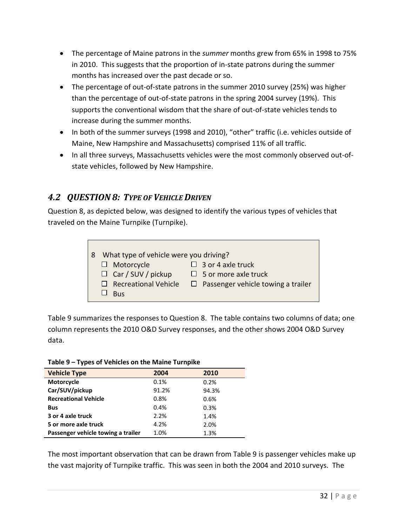- The percentage of Maine patrons in the *summer* months grew from 65% in 1998 to 75% in 2010. This suggests that the proportion of in-state patrons during the summer months has increased over the past decade or so.
- The percentage of out-of-state patrons in the summer 2010 survey (25%) was higher than the percentage of out-of-state patrons in the spring 2004 survey (19%). This supports the conventional wisdom that the share of out-of-state vehicles tends to increase during the summer months.
- In both of the summer surveys (1998 and 2010), "other" traffic (i.e. vehicles outside of Maine, New Hampshire and Massachusetts) comprised 11% of all traffic.
- In all three surveys, Massachusetts vehicles were the most commonly observed out-ofstate vehicles, followed by New Hampshire.

### <span id="page-31-0"></span>*4.2 QUESTION 8: TYPE OF VEHICLE DRIVEN*

Question 8, as depicted below, was designed to identify the various types of vehicles that traveled on the Maine Turnpike (Turnpike).

| What type of vehicle were you driving? |                                           |
|----------------------------------------|-------------------------------------------|
|                                        |                                           |
| $\Box$ Motorcycle                      | $\Box$ 3 or 4 axle truck                  |
| $\Box$ Car / SUV / pickup              | $\Box$ 5 or more axle truck               |
| $\Box$ Recreational Vehicle            | $\Box$ Passenger vehicle towing a trailer |
| <b>Bus</b>                             |                                           |

[Table 9](#page-31-1) summarizes the responses to Question 8. The table contains two columns of data; one column represents the 2010 O&D Survey responses, and the other shows 2004 O&D Survey data.

### <span id="page-31-1"></span>**Table 9 – Types of Vehicles on the Maine Turnpike**

| <b>Vehicle Type</b>                | 2004  | 2010  |  |
|------------------------------------|-------|-------|--|
| Motorcycle                         | 0.1%  | 0.2%  |  |
| Car/SUV/pickup                     | 91.2% | 94.3% |  |
| <b>Recreational Vehicle</b>        | 0.8%  | 0.6%  |  |
| <b>Bus</b>                         | 0.4%  | 0.3%  |  |
| 3 or 4 axle truck                  | 2.2%  | 1.4%  |  |
| 5 or more axle truck               | 4.2%  | 2.0%  |  |
| Passenger vehicle towing a trailer | 1.0%  | 1.3%  |  |

The most important observation that can be drawn from [Table 9](#page-31-1) is passenger vehicles make up the vast majority of Turnpike traffic. This was seen in both the 2004 and 2010 surveys. The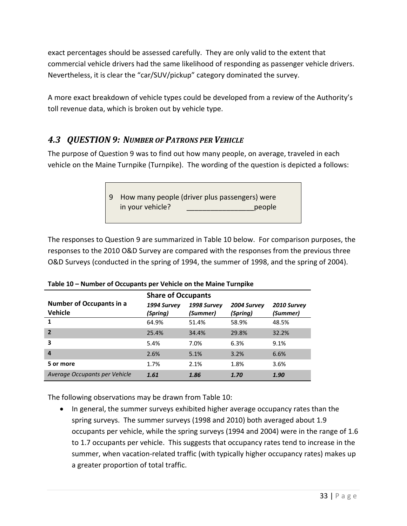exact percentages should be assessed carefully. They are only valid to the extent that commercial vehicle drivers had the same likelihood of responding as passenger vehicle drivers. Nevertheless, it is clear the "car/SUV/pickup" category dominated the survey.

A more exact breakdown of vehicle types could be developed from a review of the Authority's toll revenue data, which is broken out by vehicle type.

# <span id="page-32-0"></span>*4.3 QUESTION 9: NUMBER OF PATRONS PER VEHICLE*

The purpose of Question 9 was to find out how many people, on average, traveled in each vehicle on the Maine Turnpike (Turnpike). The wording of the question is depicted a follows:

> 9 How many people (driver plus passengers) were in your vehicle? \_\_\_\_\_\_\_\_\_\_\_\_\_\_\_\_\_people

The responses to Question 9 are summarized i[n Table 10](#page-32-1) below. For comparison purposes, the responses to the 2010 O&D Survey are compared with the responses from the previous three O&D Surveys (conducted in the spring of 1994, the summer of 1998, and the spring of 2004).

|                                 | <b>Share of Occupants</b> |             |             |             |
|---------------------------------|---------------------------|-------------|-------------|-------------|
| <b>Number of Occupants in a</b> | 1994 Survey               | 1998 Survey | 2004 Survey | 2010 Survey |
| <b>Vehicle</b>                  | (Spring)                  | (Summer)    | (Spring)    | (Summer)    |
| $\mathbf{1}$                    | 64.9%                     | 51.4%       | 58.9%       | 48.5%       |
| $\overline{2}$                  | 25.4%                     | 34.4%       | 29.8%       | 32.2%       |
| 3                               | 5.4%                      | 7.0%        | 6.3%        | 9.1%        |
| $\overline{a}$                  | 2.6%                      | 5.1%        | 3.2%        | 6.6%        |
| 5 or more                       | 1.7%                      | 2.1%        | 1.8%        | 3.6%        |
| Average Occupants per Vehicle   | 1.61                      | 1.86        | 1.70        | 1.90        |

<span id="page-32-1"></span>**Table 10 – Number of Occupants per Vehicle on the Maine Turnpike**

The following observations may be drawn from [Table 10:](#page-32-1)

• In general, the summer surveys exhibited higher average occupancy rates than the spring surveys. The summer surveys (1998 and 2010) both averaged about 1.9 occupants per vehicle, while the spring surveys (1994 and 2004) were in the range of 1.6 to 1.7 occupants per vehicle. This suggests that occupancy rates tend to increase in the summer, when vacation-related traffic (with typically higher occupancy rates) makes up a greater proportion of total traffic.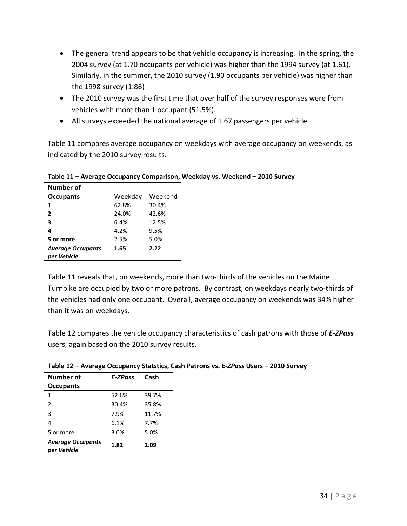- The general trend appears to be that vehicle occupancy is increasing. In the spring, the 2004 survey (at 1.70 occupants per vehicle) was higher than the 1994 survey (at 1.61). Similarly, in the summer, the 2010 survey (1.90 occupants per vehicle) was higher than the 1998 survey (1.86)
- The 2010 survey was the first time that over half of the survey responses were from vehicles with more than 1 occupant (51.5%).
- All surveys exceeded the national average of 1.67 passengers per vehicle.

[Table 11](#page-33-0) compares average occupancy on weekdays with average occupancy on weekends, as indicated by the 2010 survey results.

| Number of                |         |         |
|--------------------------|---------|---------|
| <b>Occupants</b>         | Weekday | Weekend |
| 1                        | 62.8%   | 30.4%   |
| 2                        | 24.0%   | 42.6%   |
| 3                        | 6.4%    | 12.5%   |
| 4                        | 4.2%    | 9.5%    |
| 5 or more                | 2.5%    | 5.0%    |
| <b>Average Occupants</b> | 1.65    | 2.22    |
| per Vehicle              |         |         |

<span id="page-33-0"></span>**Table 11 – Average Occupancy Comparison, Weekday vs. Weekend – 2010 Survey**

[Table 11](#page-33-0) reveals that, on weekends, more than two-thirds of the vehicles on the Maine Turnpike are occupied by two or more patrons. By contrast, on weekdays nearly two-thirds of the vehicles had only one occupant. Overall, average occupancy on weekends was 34% higher than it was on weekdays.

[Table 12](#page-33-1) compares the vehicle occupancy characteristics of cash patrons with those of *E-ZPass* users, again based on the 2010 survey results.

| Number of<br><b>Occupants</b>           | E-ZPass | Cash  |
|-----------------------------------------|---------|-------|
| 1                                       | 52.6%   | 39.7% |
| $\mathfrak{p}$                          | 30.4%   | 35.8% |
| 3                                       | 7.9%    | 11.7% |
| 4                                       | 6.1%    | 7.7%  |
| 5 or more                               | 3.0%    | 5.0%  |
| <b>Average Occupants</b><br>per Vehicle | 1.82    | 2.09  |

<span id="page-33-1"></span>**Table 12 – Average Occupancy Statstics, Cash Patrons vs.** *E-ZPass* **Users – 2010 Survey**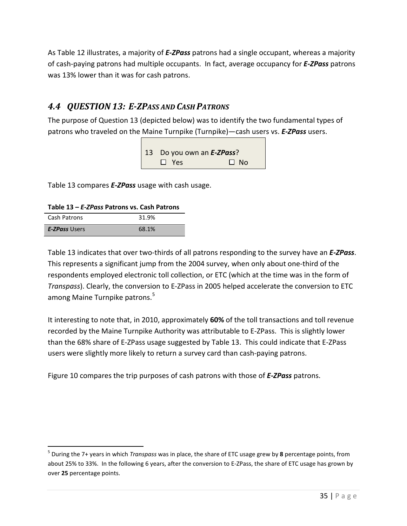As [Table 12](#page-33-1) illustrates, a majority of *E-ZPass* patrons had a single occupant, whereas a majority of cash-paying patrons had multiple occupants. In fact, average occupancy for *E-ZPass* patrons was 13% lower than it was for cash patrons.

# <span id="page-34-0"></span>*4.4 QUESTION 13: E-ZPASS AND CASH PATRONS*

The purpose of Question 13 (depicted below) was to identify the two fundamental types of patrons who traveled on the Maine Turnpike (Turnpike)—cash users vs. **E-ZPass** users.

> 13 Do you own an *E-ZPass*?  $\square$  Yes  $\square$  No

[Table 13](#page-34-1) compares *E-ZPass* usage with cash usage.

<span id="page-34-1"></span>**Table 13 –** *E-ZPass* **Patrons vs. Cash Patrons**

| Cash Patrons         | 31.9% |
|----------------------|-------|
| <b>E-ZPass Users</b> | 68.1% |

[Table 13](#page-34-1) indicates that over two-thirds of all patrons responding to the survey have an *E-ZPass*. This represents a significant jump from the 2004 survey, when only about one-third of the respondents employed electronic toll collection, or ETC (which at the time was in the form of *Transpass*). Clearly, the conversion to E-ZPass in 2005 helped accelerate the conversion to ETC among Maine Turnpike patrons.<sup>[5](#page-34-2)</sup>

It interesting to note that, in 2010, approximately **60%** of the toll transactions and toll revenue recorded by the Maine Turnpike Authority was attributable to E-ZPass. This is slightly lower than the 68% share of E-ZPass usage suggested by [Table 13.](#page-34-1) This could indicate that E-ZPass users were slightly more likely to return a survey card than cash-paying patrons.

[Figure 10](#page-35-1) compares the trip purposes of cash patrons with those of *E-ZPass* patrons.

<span id="page-34-2"></span> <sup>5</sup> During the 7+ years in which *Transpass* was in place, the share of ETC usage grew by **<sup>8</sup>** percentage points, from about 25% to 33%. In the following 6 years, after the conversion to E-ZPass, the share of ETC usage has grown by over **25** percentage points.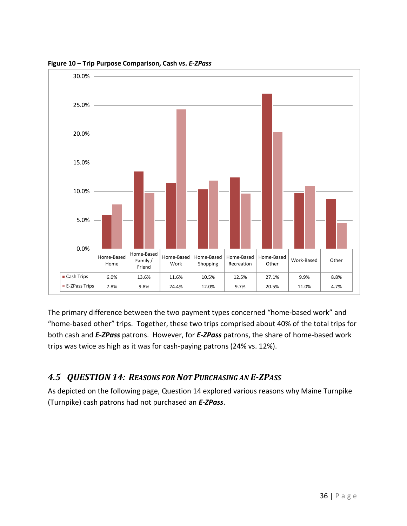![](_page_35_Figure_0.jpeg)

<span id="page-35-1"></span>**Figure 10 – Trip Purpose Comparison, Cash vs.** *E-ZPass*

The primary difference between the two payment types concerned "home-based work" and "home-based other" trips. Together, these two trips comprised about 40% of the total trips for both cash and *E-ZPass* patrons. However, for *E-ZPass* patrons, the share of home-based work trips was twice as high as it was for cash-paying patrons (24% vs. 12%).

# <span id="page-35-0"></span>*4.5 QUESTION 14: REASONS FOR NOT PURCHASING AN E-ZPASS*

As depicted on the following page, Question 14 explored various reasons why Maine Turnpike (Turnpike) cash patrons had not purchased an *E-ZPass*.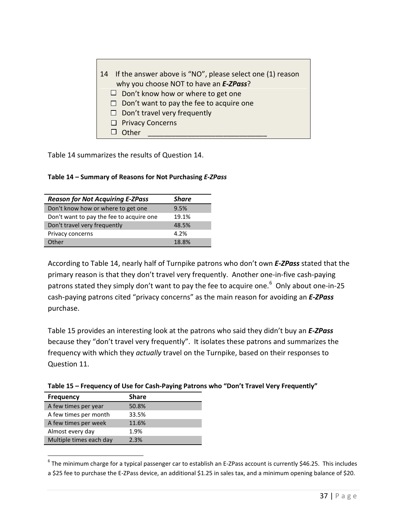| 14 If the answer above is "NO", please select one (1) reason<br>why you choose NOT to have an E-ZPass? |
|--------------------------------------------------------------------------------------------------------|
| $\Box$ Don't know how or where to get one                                                              |
| $\Box$ Don't want to pay the fee to acquire one                                                        |
| $\Box$ Don't travel very frequently                                                                    |
| $\Box$ Privacy Concerns                                                                                |
| Other                                                                                                  |

[Table 14](#page-36-0) summarizes the results of Question 14.

<span id="page-36-0"></span>

|  |  | Table 14 - Summary of Reasons for Not Purchasing E-ZPass |
|--|--|----------------------------------------------------------|
|--|--|----------------------------------------------------------|

| <b>Reason for Not Acquiring E-ZPass</b>  | <b>Share</b> |
|------------------------------------------|--------------|
| Don't know how or where to get one       | 9.5%         |
| Don't want to pay the fee to acquire one | 19.1%        |
| Don't travel very frequently             | 48.5%        |
| Privacy concerns                         | 4.2%         |
| Other                                    | 18.8%        |

According to [Table 14,](#page-36-0) nearly half of Turnpike patrons who don't own *E-ZPass* stated that the primary reason is that they don't travel very frequently. Another one-in-five cash-paying patrons stated they simply don't want to pay the fee to acquire one.<sup>[6](#page-36-2)</sup> Only about one-in-25 cash-paying patrons cited "privacy concerns" as the main reason for avoiding an *E-ZPass* purchase.

[Table 15](#page-36-1) provides an interesting look at the patrons who said they didn't buy an *E-ZPass* because they "don't travel very frequently". It isolates these patrons and summarizes the frequency with which they *actually* travel on the Turnpike, based on their responses to Question 11.

| <b>Frequency</b>      | <b>Share</b> |  |
|-----------------------|--------------|--|
| A few times per year  | 50.8%        |  |
| A few times per month | 33.5%        |  |
| A few times per week  | 11.6%        |  |
| Almost every day      | 1.9%         |  |

Multiple times each day 2.3%

<span id="page-36-1"></span>**Table 15 – Frequency of Use for Cash-Paying Patrons who "Don't Travel Very Frequently"**

<span id="page-36-2"></span> $6$  The minimum charge for a typical passenger car to establish an E-ZPass account is currently \$46.25. This includes a \$25 fee to purchase the E-ZPass device, an additional \$1.25 in sales tax, and a minimum opening balance of \$20.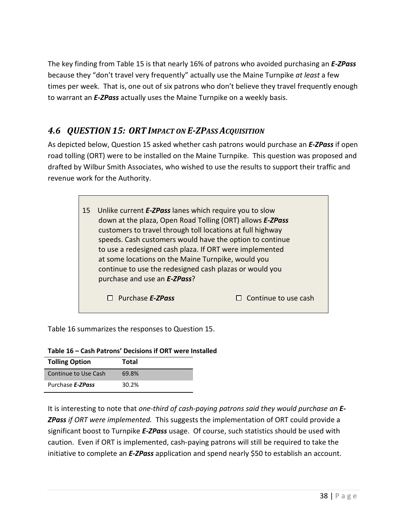The key finding from [Table 15](#page-36-1) is that nearly 16% of patrons who avoided purchasing an *E-ZPass* because they "don't travel very frequently" actually use the Maine Turnpike *at least* a few times per week. That is, one out of six patrons who don't believe they travel frequently enough to warrant an *E-ZPass* actually uses the Maine Turnpike on a weekly basis.

# <span id="page-37-0"></span>*4.6 QUESTION 15: ORT IMPACT ON E-ZPASS ACQUISITION*

As depicted below, Question 15 asked whether cash patrons would purchase an *E-ZPass* if open road tolling (ORT) were to be installed on the Maine Turnpike. This question was proposed and drafted by Wilbur Smith Associates, who wished to use the results to support their traffic and revenue work for the Authority.

![](_page_37_Picture_3.jpeg)

[Table 16](#page-37-1) summarizes the responses to Question 15.

<span id="page-37-1"></span>

| Table 16 - Cash Patrons' Decisions if ORT were Installed |  |  |
|----------------------------------------------------------|--|--|
|----------------------------------------------------------|--|--|

| <b>Tolling Option</b> | <b>Total</b> |
|-----------------------|--------------|
| Continue to Use Cash  | 69.8%        |
| Purchase E-ZPass      | 30.2%        |

It is interesting to note that *one-third of cash-paying patrons said they would purchase an E-ZPass if ORT were implemented.* This suggests the implementation of ORT could provide a significant boost to Turnpike *E-ZPass* usage. Of course, such statistics should be used with caution. Even if ORT is implemented, cash-paying patrons will still be required to take the initiative to complete an *E-ZPass* application and spend nearly \$50 to establish an account.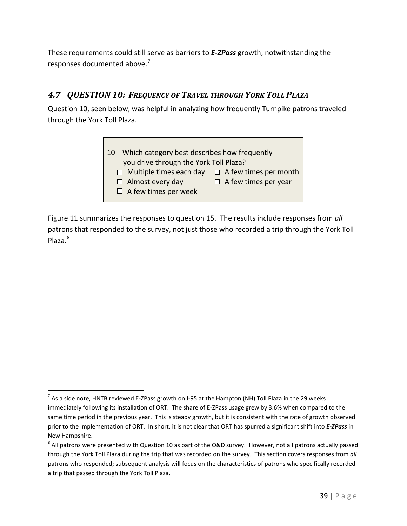These requirements could still serve as barriers to *E-ZPass* growth, notwithstanding the responses documented above.<sup>[7](#page-38-1)</sup>

### <span id="page-38-0"></span>*4.7 QUESTION 10: FREQUENCY OF TRAVEL THROUGH YORK TOLL PLAZA*

Question 10, seen below, was helpful in analyzing how frequently Turnpike patrons traveled through the York Toll Plaza.

![](_page_38_Picture_3.jpeg)

[Figure 11](#page-39-0) summarizes the responses to question 15. The results include responses from *all*  patrons that responded to the survey, not just those who recorded a trip through the York Toll Plaza.<sup>[8](#page-38-2)</sup>

<span id="page-38-1"></span> $^7$  As a side note, HNTB reviewed E-ZPass growth on I-95 at the Hampton (NH) Toll Plaza in the 29 weeks immediately following its installation of ORT. The share of E-ZPass usage grew by 3.6% when compared to the same time period in the previous year. This is steady growth, but it is consistent with the rate of growth observed prior to the implementation of ORT. In short, it is not clear that ORT has spurred a significant shift into *E-ZPass* in New Hampshire.

<span id="page-38-2"></span> $8$  All patrons were presented with Question 10 as part of the O&D survey. However, not all patrons actually passed through the York Toll Plaza during the trip that was recorded on the survey. This section covers responses from *all*  patrons who responded; subsequent analysis will focus on the characteristics of patrons who specifically recorded a trip that passed through the York Toll Plaza.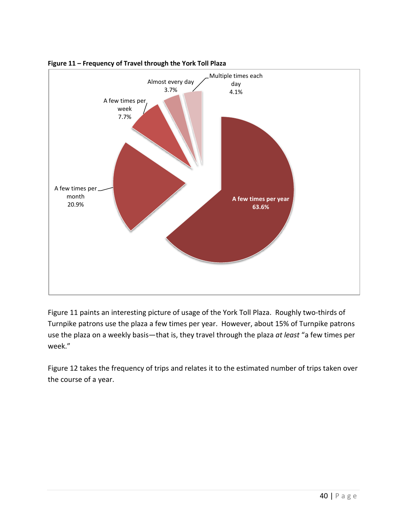![](_page_39_Figure_0.jpeg)

<span id="page-39-0"></span>![](_page_39_Figure_1.jpeg)

[Figure 11](#page-39-0) paints an interesting picture of usage of the York Toll Plaza. Roughly two-thirds of Turnpike patrons use the plaza a few times per year. However, about 15% of Turnpike patrons use the plaza on a weekly basis—that is, they travel through the plaza *at least* "a few times per week."

[Figure 12](#page-40-0) takes the frequency of trips and relates it to the estimated number of trips taken over the course of a year.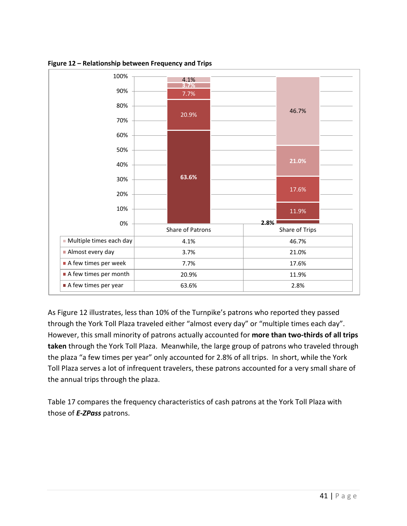![](_page_40_Figure_0.jpeg)

<span id="page-40-0"></span>**Figure 12 – Relationship between Frequency and Trips**

As [Figure 12](#page-40-0) illustrates, less than 10% of the Turnpike's patrons who reported they passed through the York Toll Plaza traveled either "almost every day" or "multiple times each day". However, this small minority of patrons actually accounted for **more than two-thirds of all trips taken** through the York Toll Plaza. Meanwhile, the large group of patrons who traveled through the plaza "a few times per year" only accounted for 2.8% of all trips. In short, while the York Toll Plaza serves a lot of infrequent travelers, these patrons accounted for a very small share of the annual trips through the plaza.

[Table 17](#page-41-0) compares the frequency characteristics of cash patrons at the York Toll Plaza with those of *E-ZPass* patrons.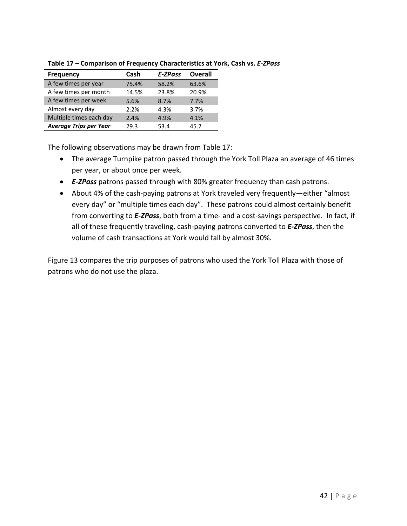| <b>Frequency</b>              | Cash  | E-ZPass | <b>Overall</b> |
|-------------------------------|-------|---------|----------------|
| A few times per year          | 75.4% | 58.2%   | 63.6%          |
| A few times per month         | 14.5% | 23.8%   | 20.9%          |
| A few times per week          | 5.6%  | 8.7%    | 7.7%           |
| Almost every day              | 2.2%  | 4.3%    | 3.7%           |
| Multiple times each day       | 2.4%  | 4.9%    | 4.1%           |
| <b>Average Trips per Year</b> | 29.3  | 53.4    | 45 7           |

<span id="page-41-0"></span>**Table 17 – Comparison of Frequency Characteristics at York, Cash vs.** *E-ZPass*

The following observations may be drawn from [Table 17:](#page-41-0)

- The average Turnpike patron passed through the York Toll Plaza an average of 46 times per year, or about once per week.
- *E-ZPass* patrons passed through with 80% greater frequency than cash patrons.
- About 4% of the cash-paying patrons at York traveled very frequently—either "almost every day" or "multiple times each day". These patrons could almost certainly benefit from converting to *E-ZPass*, both from a time- and a cost-savings perspective. In fact, if all of these frequently traveling, cash-paying patrons converted to *E-ZPass*, then the volume of cash transactions at York would fall by almost 30%.

[Figure 13](#page-42-0) compares the trip purposes of patrons who used the York Toll Plaza with those of patrons who do not use the plaza.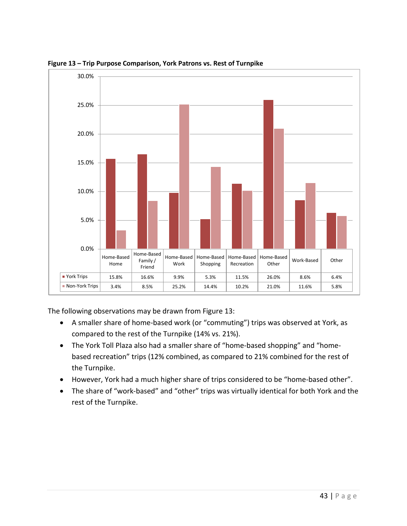![](_page_42_Figure_0.jpeg)

<span id="page-42-0"></span>**Figure 13 – Trip Purpose Comparison, York Patrons vs. Rest of Turnpike**

The following observations may be drawn from [Figure 13:](#page-42-0)

- A smaller share of home-based work (or "commuting") trips was observed at York, as compared to the rest of the Turnpike (14% vs. 21%).
- The York Toll Plaza also had a smaller share of "home-based shopping" and "homebased recreation" trips (12% combined, as compared to 21% combined for the rest of the Turnpike.
- However, York had a much higher share of trips considered to be "home-based other".
- The share of "work-based" and "other" trips was virtually identical for both York and the rest of the Turnpike.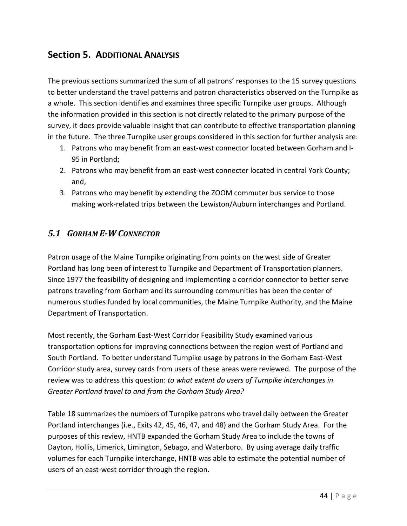# <span id="page-43-0"></span>**Section 5. ADDITIONAL ANALYSIS**

The previous sections summarized the sum of all patrons' responses to the 15 survey questions to better understand the travel patterns and patron characteristics observed on the Turnpike as a whole. This section identifies and examines three specific Turnpike user groups. Although the information provided in this section is not directly related to the primary purpose of the survey, it does provide valuable insight that can contribute to effective transportation planning in the future. The three Turnpike user groups considered in this section for further analysis are:

- 1. Patrons who may benefit from an east-west connector located between Gorham and I-95 in Portland;
- 2. Patrons who may benefit from an east-west connecter located in central York County; and,
- 3. Patrons who may benefit by extending the ZOOM commuter bus service to those making work-related trips between the Lewiston/Auburn interchanges and Portland.

### <span id="page-43-1"></span>*5.1 GORHAM E-W CONNECTOR*

Patron usage of the Maine Turnpike originating from points on the west side of Greater Portland has long been of interest to Turnpike and Department of Transportation planners. Since 1977 the feasibility of designing and implementing a corridor connector to better serve patrons traveling from Gorham and its surrounding communities has been the center of numerous studies funded by local communities, the Maine Turnpike Authority, and the Maine Department of Transportation.

Most recently, the Gorham East-West Corridor Feasibility Study examined various transportation options for improving connections between the region west of Portland and South Portland. To better understand Turnpike usage by patrons in the Gorham East-West Corridor study area, survey cards from users of these areas were reviewed. The purpose of the review was to address this question: *to what extent do users of Turnpike interchanges in Greater Portland travel to and from the Gorham Study Area?*

[Table 18](#page-44-1) summarizes the numbers of Turnpike patrons who travel daily between the Greater Portland interchanges (i.e., Exits 42, 45, 46, 47, and 48) and the Gorham Study Area. For the purposes of this review, HNTB expanded the Gorham Study Area to include the towns of Dayton, Hollis, Limerick, Limington, Sebago, and Waterboro. By using average daily traffic volumes for each Turnpike interchange, HNTB was able to estimate the potential number of users of an east-west corridor through the region.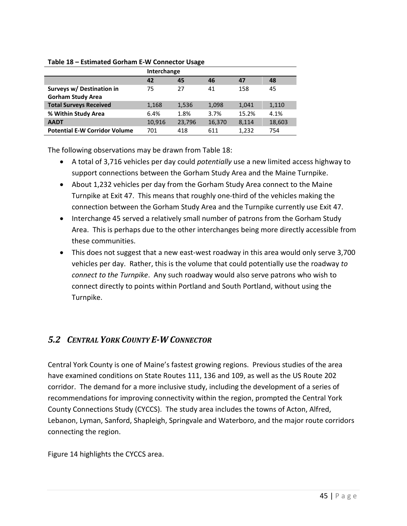### <span id="page-44-1"></span>**Table 18 – Estimated Gorham E-W Connector Usage**

|                                      | Interchange |        |        |       |        |
|--------------------------------------|-------------|--------|--------|-------|--------|
|                                      | 42          | 45     | 46     | 47    | 48     |
| Surveys w/ Destination in            | 75          | 27     | 41     | 158   | 45     |
| <b>Gorham Study Area</b>             |             |        |        |       |        |
| <b>Total Surveys Received</b>        | 1,168       | 1,536  | 1,098  | 1.041 | 1,110  |
| % Within Study Area                  | 6.4%        | 1.8%   | 3.7%   | 15.2% | 4.1%   |
| <b>AADT</b>                          | 10,916      | 23,796 | 16,370 | 8,114 | 18,603 |
| <b>Potential E-W Corridor Volume</b> | 701         | 418    | 611    | 1,232 | 754    |

The following observations may be drawn from [Table 18:](#page-44-1)

- A total of 3,716 vehicles per day could *potentially* use a new limited access highway to support connections between the Gorham Study Area and the Maine Turnpike.
- About 1,232 vehicles per day from the Gorham Study Area connect to the Maine Turnpike at Exit 47. This means that roughly one-third of the vehicles making the connection between the Gorham Study Area and the Turnpike currently use Exit 47.
- Interchange 45 served a relatively small number of patrons from the Gorham Study Area. This is perhaps due to the other interchanges being more directly accessible from these communities.
- This does not suggest that a new east-west roadway in this area would only serve 3,700 vehicles per day. Rather, this is the volume that could potentially use the roadway *to connect to the Turnpike*. Any such roadway would also serve patrons who wish to connect directly to points within Portland and South Portland, without using the Turnpike.

# <span id="page-44-0"></span>*5.2 CENTRAL YORK COUNTY E-W CONNECTOR*

Central York County is one of Maine's fastest growing regions. Previous studies of the area have examined conditions on State Routes 111, 136 and 109, as well as the US Route 202 corridor. The demand for a more inclusive study, including the development of a series of recommendations for improving connectivity within the region, prompted the Central York County Connections Study (CYCCS). The study area includes the towns of Acton, Alfred, Lebanon, Lyman, Sanford, Shapleigh, Springvale and Waterboro, and the major route corridors connecting the region.

[Figure 14](#page-45-0) highlights the CYCCS area.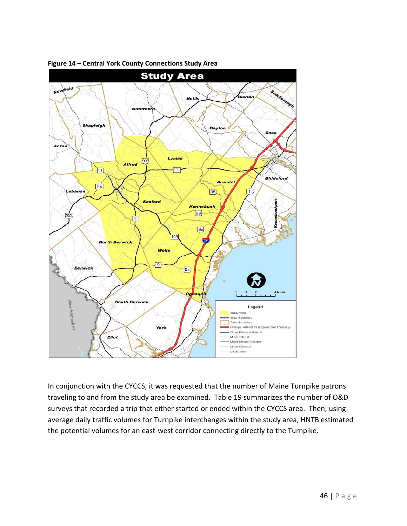![](_page_45_Figure_0.jpeg)

<span id="page-45-0"></span>**Figure 14 – Central York County Connections Study Area**

In conjunction with the CYCCS, it was requested that the number of Maine Turnpike patrons traveling to and from the study area be examined. [Table 19](#page-46-1) summarizes the number of O&D surveys that recorded a trip that either started or ended within the CYCCS area. Then, using average daily traffic volumes for Turnpike interchanges within the study area, HNTB estimated the potential volumes for an east-west corridor connecting directly to the Turnpike.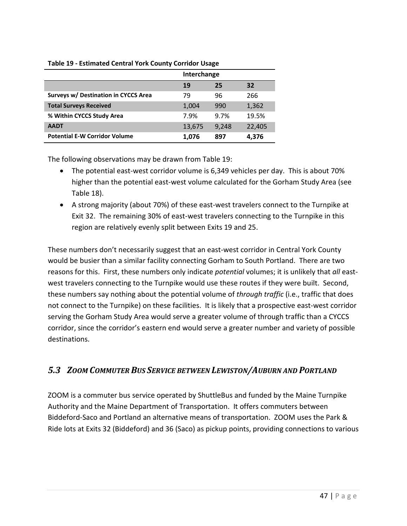|                                      |        | Interchange |        |
|--------------------------------------|--------|-------------|--------|
|                                      | 19     | 25          | 32     |
| Surveys w/ Destination in CYCCS Area | 79     | 96          | 266    |
| <b>Total Surveys Received</b>        | 1,004  | 990         | 1,362  |
| % Within CYCCS Study Area            | 7.9%   | 9.7%        | 19.5%  |
| <b>AADT</b>                          | 13,675 | 9,248       | 22,405 |
| <b>Potential E-W Corridor Volume</b> | 1,076  | 897         | 4,376  |

### <span id="page-46-1"></span>**Table 19 - Estimated Central York County Corridor Usage**

The following observations may be drawn from [Table 19:](#page-46-1)

- The potential east-west corridor volume is 6,349 vehicles per day. This is about 70% higher than the potential east-west volume calculated for the Gorham Study Area (see [Table 18\)](#page-44-1).
- A strong majority (about 70%) of these east-west travelers connect to the Turnpike at Exit 32. The remaining 30% of east-west travelers connecting to the Turnpike in this region are relatively evenly split between Exits 19 and 25.

These numbers don't necessarily suggest that an east-west corridor in Central York County would be busier than a similar facility connecting Gorham to South Portland. There are two reasons for this. First, these numbers only indicate *potential* volumes; it is unlikely that *all* eastwest travelers connecting to the Turnpike would use these routes if they were built. Second, these numbers say nothing about the potential volume of *through traffic* (i.e., traffic that does not connect to the Turnpike) on these facilities. It is likely that a prospective east-west corridor serving the Gorham Study Area would serve a greater volume of through traffic than a CYCCS corridor, since the corridor's eastern end would serve a greater number and variety of possible destinations.

### <span id="page-46-0"></span>*5.3 ZOOM COMMUTER BUS SERVICE BETWEEN LEWISTON/AUBURN AND PORTLAND*

ZOOM is a commuter bus service operated by ShuttleBus and funded by the Maine Turnpike Authority and the Maine Department of Transportation. It offers commuters between Biddeford-Saco and Portland an alternative means of transportation. ZOOM uses the Park & Ride lots at Exits 32 (Biddeford) and 36 (Saco) as pickup points, providing connections to various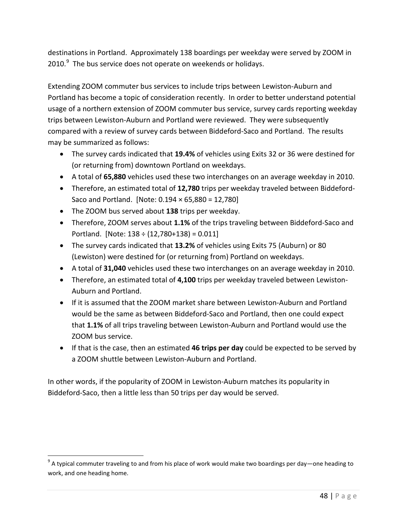destinations in Portland. Approximately 138 boardings per weekday were served by ZOOM in 2010. $9$  The bus service does not operate on weekends or holidays.

Extending ZOOM commuter bus services to include trips between Lewiston-Auburn and Portland has become a topic of consideration recently. In order to better understand potential usage of a northern extension of ZOOM commuter bus service, survey cards reporting weekday trips between Lewiston-Auburn and Portland were reviewed. They were subsequently compared with a review of survey cards between Biddeford-Saco and Portland. The results may be summarized as follows:

- The survey cards indicated that **19.4%** of vehicles using Exits 32 or 36 were destined for (or returning from) downtown Portland on weekdays.
- A total of **65,880** vehicles used these two interchanges on an average weekday in 2010.
- Therefore, an estimated total of **12,780** trips per weekday traveled between Biddeford-Saco and Portland. [Note: 0.194 × 65,880 = 12,780]
- The ZOOM bus served about **138** trips per weekday.
- Therefore, ZOOM serves about **1.1%** of the trips traveling between Biddeford-Saco and Portland. [Note:  $138 \div (12,780+138) = 0.011$ ]
- The survey cards indicated that **13.2%** of vehicles using Exits 75 (Auburn) or 80 (Lewiston) were destined for (or returning from) Portland on weekdays.
- A total of **31,040** vehicles used these two interchanges on an average weekday in 2010.
- Therefore, an estimated total of **4,100** trips per weekday traveled between Lewiston-Auburn and Portland.
- If it is assumed that the ZOOM market share between Lewiston-Auburn and Portland would be the same as between Biddeford-Saco and Portland, then one could expect that **1.1%** of all trips traveling between Lewiston-Auburn and Portland would use the ZOOM bus service.
- If that is the case, then an estimated **46 trips per day** could be expected to be served by a ZOOM shuttle between Lewiston-Auburn and Portland.

In other words, if the popularity of ZOOM in Lewiston-Auburn matches its popularity in Biddeford-Saco, then a little less than 50 trips per day would be served.

<span id="page-47-0"></span> $9$  A typical commuter traveling to and from his place of work would make two boardings per day—one heading to work, and one heading home.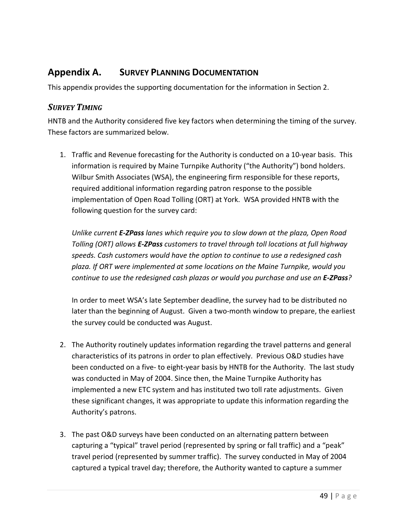# <span id="page-48-0"></span>**Appendix A. SURVEY PLANNING DOCUMENTATION**

This appendix provides the supporting documentation for the information in [Section 2.](#page-6-0)

### <span id="page-48-1"></span>*SURVEY TIMING*

HNTB and the Authority considered five key factors when determining the timing of the survey. These factors are summarized below.

1. Traffic and Revenue forecasting for the Authority is conducted on a 10-year basis. This information is required by Maine Turnpike Authority ("the Authority") bond holders. Wilbur Smith Associates (WSA), the engineering firm responsible for these reports, required additional information regarding patron response to the possible implementation of Open Road Tolling (ORT) at York. WSA provided HNTB with the following question for the survey card:

*Unlike current E-ZPass lanes which require you to slow down at the plaza, Open Road Tolling (ORT) allows E-ZPass customers to travel through toll locations at full highway speeds. Cash customers would have the option to continue to use a redesigned cash plaza. If ORT were implemented at some locations on the Maine Turnpike, would you continue to use the redesigned cash plazas or would you purchase and use an E-ZPass?*

In order to meet WSA's late September deadline, the survey had to be distributed no later than the beginning of August. Given a two-month window to prepare, the earliest the survey could be conducted was August.

- 2. The Authority routinely updates information regarding the travel patterns and general characteristics of its patrons in order to plan effectively. Previous O&D studies have been conducted on a five- to eight-year basis by HNTB for the Authority. The last study was conducted in May of 2004. Since then, the Maine Turnpike Authority has implemented a new ETC system and has instituted two toll rate adjustments. Given these significant changes, it was appropriate to update this information regarding the Authority's patrons.
- 3. The past O&D surveys have been conducted on an alternating pattern between capturing a "typical" travel period (represented by spring or fall traffic) and a "peak" travel period (represented by summer traffic). The survey conducted in May of 2004 captured a typical travel day; therefore, the Authority wanted to capture a summer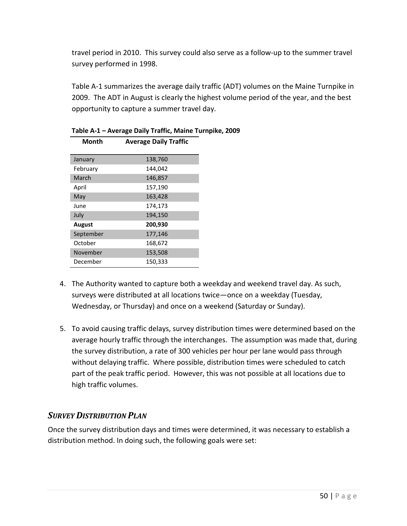travel period in 2010. This survey could also serve as a follow-up to the summer travel survey performed in 1998.

[Table A-1](#page-49-1) summarizes the average daily traffic (ADT) volumes on the Maine Turnpike in 2009. The ADT in August is clearly the highest volume period of the year, and the best opportunity to capture a summer travel day.

| Month     | <b>Average Daily Traffic</b> |
|-----------|------------------------------|
|           |                              |
| January   | 138,760                      |
| February  | 144,042                      |
| March     | 146,857                      |
| April     | 157,190                      |
| May       | 163,428                      |
| June      | 174,173                      |
| July      | 194,150                      |
| August    | 200,930                      |
| September | 177,146                      |
| October   | 168,672                      |
| November  | 153,508                      |
| December  | 150,333                      |

### <span id="page-49-1"></span>**Table A-1 – Average Daily Traffic, Maine Turnpike, 2009**

- 4. The Authority wanted to capture both a weekday and weekend travel day. As such, surveys were distributed at all locations twice—once on a weekday (Tuesday, Wednesday, or Thursday) and once on a weekend (Saturday or Sunday).
- 5. To avoid causing traffic delays, survey distribution times were determined based on the average hourly traffic through the interchanges. The assumption was made that, during the survey distribution, a rate of 300 vehicles per hour per lane would pass through without delaying traffic. Where possible, distribution times were scheduled to catch part of the peak traffic period. However, this was not possible at all locations due to high traffic volumes.

# <span id="page-49-0"></span>*SURVEY DISTRIBUTION PLAN*

Once the survey distribution days and times were determined, it was necessary to establish a distribution method. In doing such, the following goals were set: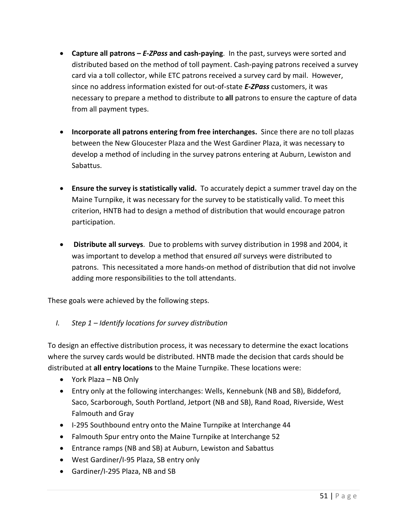- **Capture all patrons –** *E-ZPass* **and cash-paying**. In the past, surveys were sorted and distributed based on the method of toll payment. Cash-paying patrons received a survey card via a toll collector, while ETC patrons received a survey card by mail. However, since no address information existed for out-of-state *E-ZPass* customers, it was necessary to prepare a method to distribute to **all** patrons to ensure the capture of data from all payment types.
- **Incorporate all patrons entering from free interchanges.** Since there are no toll plazas between the New Gloucester Plaza and the West Gardiner Plaza, it was necessary to develop a method of including in the survey patrons entering at Auburn, Lewiston and Sabattus.
- **Ensure the survey is statistically valid.** To accurately depict a summer travel day on the Maine Turnpike, it was necessary for the survey to be statistically valid. To meet this criterion, HNTB had to design a method of distribution that would encourage patron participation.
- **Distribute all surveys**. Due to problems with survey distribution in 1998 and 2004, it was important to develop a method that ensured *all* surveys were distributed to patrons. This necessitated a more hands-on method of distribution that did not involve adding more responsibilities to the toll attendants.

These goals were achieved by the following steps.

*I. Step 1 – Identify locations for survey distribution*

To design an effective distribution process, it was necessary to determine the exact locations where the survey cards would be distributed. HNTB made the decision that cards should be distributed at **all entry locations** to the Maine Turnpike. These locations were:

- York Plaza NB Only
- Entry only at the following interchanges: Wells, Kennebunk (NB and SB), Biddeford, Saco, Scarborough, South Portland, Jetport (NB and SB), Rand Road, Riverside, West Falmouth and Gray
- I-295 Southbound entry onto the Maine Turnpike at Interchange 44
- Falmouth Spur entry onto the Maine Turnpike at Interchange 52
- Entrance ramps (NB and SB) at Auburn, Lewiston and Sabattus
- West Gardiner/I-95 Plaza, SB entry only
- Gardiner/I-295 Plaza, NB and SB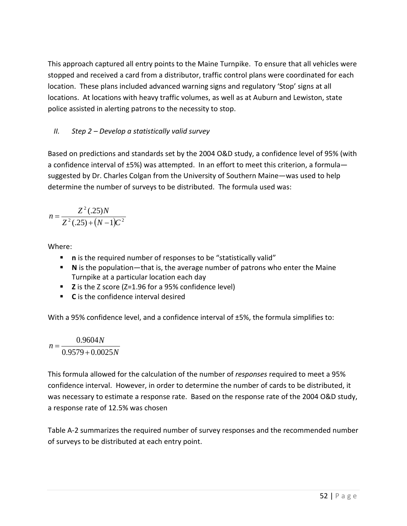This approach captured all entry points to the Maine Turnpike. To ensure that all vehicles were stopped and received a card from a distributor, traffic control plans were coordinated for each location. These plans included advanced warning signs and regulatory 'Stop' signs at all locations. At locations with heavy traffic volumes, as well as at Auburn and Lewiston, state police assisted in alerting patrons to the necessity to stop.

### *II. Step 2 – Develop a statistically valid survey*

Based on predictions and standards set by the 2004 O&D study, a confidence level of 95% (with a confidence interval of ±5%) was attempted. In an effort to meet this criterion, a formula suggested by Dr. Charles Colgan from the University of Southern Maine—was used to help determine the number of surveys to be distributed. The formula used was:

$$
n = \frac{Z^2(.25)N}{Z^2(.25) + (N-1)C^2}
$$

Where:

- **n** is the required number of responses to be "statistically valid"
- **N** is the population—that is, the average number of patrons who enter the Maine Turnpike at a particular location each day
- **Z** is the Z score (Z=1.96 for a 95% confidence level)
- **C** is the confidence interval desired

With a 95% confidence level, and a confidence interval of ±5%, the formula simplifies to:

 $=\frac{0.9579 + 0.0025N}{0.9579 + 0.0025N}$ *N* 0.9604  $n = -$ 

This formula allowed for the calculation of the number of *responses* required to meet a 95% confidence interval. However, in order to determine the number of cards to be distributed, it was necessary to estimate a response rate. Based on the response rate of the 2004 O&D study, a response rate of 12.5% was chosen

[Table A-2](#page-52-0) summarizes the required number of survey responses and the recommended number of surveys to be distributed at each entry point.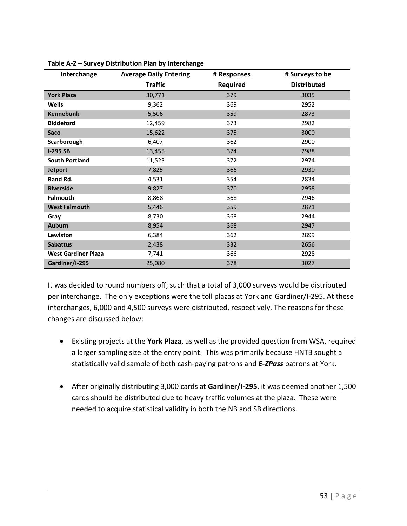| Interchange                | <b>Average Daily Entering</b> | # Responses     | # Surveys to be    |
|----------------------------|-------------------------------|-----------------|--------------------|
|                            | <b>Traffic</b>                | <b>Required</b> | <b>Distributed</b> |
| <b>York Plaza</b>          | 30,771                        | 379             | 3035               |
| Wells                      | 9,362                         | 369             | 2952               |
| <b>Kennebunk</b>           | 5,506                         | 359             | 2873               |
| <b>Biddeford</b>           | 12,459                        | 373             | 2982               |
| Saco                       | 15,622                        | 375             | 3000               |
| Scarborough                | 6,407                         | 362             | 2900               |
| $I-295SB$                  | 13,455                        | 374             | 2988               |
| <b>South Portland</b>      | 11,523                        | 372             | 2974               |
| <b>Jetport</b>             | 7,825                         | 366             | 2930               |
| Rand Rd.                   | 4,531                         | 354             | 2834               |
| <b>Riverside</b>           | 9,827                         | 370             | 2958               |
| <b>Falmouth</b>            | 8,868                         | 368             | 2946               |
| <b>West Falmouth</b>       | 5,446                         | 359             | 2871               |
| Gray                       | 8,730                         | 368             | 2944               |
| <b>Auburn</b>              | 8,954                         | 368             | 2947               |
| Lewiston                   | 6,384                         | 362             | 2899               |
| <b>Sabattus</b>            | 2,438                         | 332             | 2656               |
| <b>West Gardiner Plaza</b> | 7,741                         | 366             | 2928               |
| Gardiner/I-295             | 25,080                        | 378             | 3027               |

<span id="page-52-0"></span>

It was decided to round numbers off, such that a total of 3,000 surveys would be distributed per interchange. The only exceptions were the toll plazas at York and Gardiner/I-295. At these interchanges, 6,000 and 4,500 surveys were distributed, respectively. The reasons for these changes are discussed below:

- Existing projects at the **York Plaza**, as well as the provided question from WSA, required a larger sampling size at the entry point. This was primarily because HNTB sought a statistically valid sample of both cash-paying patrons and *E-ZPass* patrons at York.
- After originally distributing 3,000 cards at **Gardiner/I-295**, it was deemed another 1,500 cards should be distributed due to heavy traffic volumes at the plaza. These were needed to acquire statistical validity in both the NB and SB directions.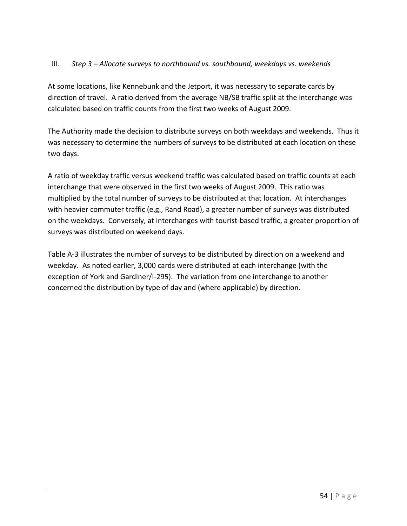### III. *Step 3 – Allocate surveys to northbound vs. southbound, weekdays vs. weekends*

At some locations, like Kennebunk and the Jetport, it was necessary to separate cards by direction of travel. A ratio derived from the average NB/SB traffic split at the interchange was calculated based on traffic counts from the first two weeks of August 2009.

The Authority made the decision to distribute surveys on both weekdays and weekends. Thus it was necessary to determine the numbers of surveys to be distributed at each location on these two days.

A ratio of weekday traffic versus weekend traffic was calculated based on traffic counts at each interchange that were observed in the first two weeks of August 2009. This ratio was multiplied by the total number of surveys to be distributed at that location. At interchanges with heavier commuter traffic (e.g., Rand Road), a greater number of surveys was distributed on the weekdays. Conversely, at interchanges with tourist-based traffic, a greater proportion of surveys was distributed on weekend days.

[Table A-3](#page-54-0) illustrates the number of surveys to be distributed by direction on a weekend and weekday. As noted earlier, 3,000 cards were distributed at each interchange (with the exception of York and Gardiner/I-295). The variation from one interchange to another concerned the distribution by type of day and (where applicable) by direction.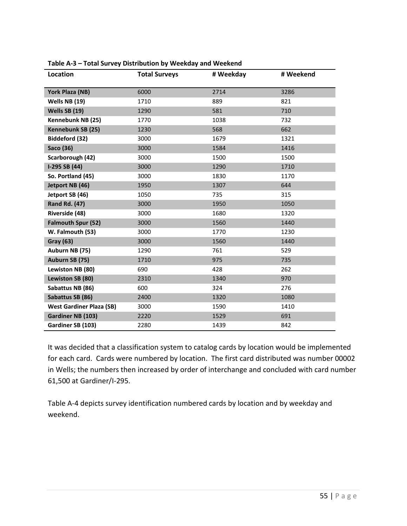| Location                        | <b>Total Surveys</b> | # Weekday | # Weekend |
|---------------------------------|----------------------|-----------|-----------|
| York Plaza (NB)                 | 6000                 | 2714      | 3286      |
| Wells NB (19)                   | 1710                 | 889       | 821       |
| Wells SB (19)                   | 1290                 | 581       | 710       |
| Kennebunk NB (25)               | 1770                 | 1038      | 732       |
| Kennebunk SB (25)               | 1230                 | 568       | 662       |
| Biddeford (32)                  | 3000                 | 1679      | 1321      |
| Saco (36)                       | 3000                 | 1584      | 1416      |
| Scarborough (42)                | 3000                 | 1500      | 1500      |
| I-295 SB (44)                   | 3000                 | 1290      | 1710      |
| So. Portland (45)               | 3000                 | 1830      | 1170      |
| Jetport NB (46)                 | 1950                 | 1307      | 644       |
| Jetport SB (46)                 | 1050                 | 735       | 315       |
| <b>Rand Rd. (47)</b>            | 3000                 | 1950      | 1050      |
| Riverside (48)                  | 3000                 | 1680      | 1320      |
| <b>Falmouth Spur (52)</b>       | 3000                 | 1560      | 1440      |
| W. Falmouth (53)                | 3000                 | 1770      | 1230      |
| <b>Gray (63)</b>                | 3000                 | 1560      | 1440      |
| Auburn NB (75)                  | 1290                 | 761       | 529       |
| Auburn SB (75)                  | 1710                 | 975       | 735       |
| Lewiston NB (80)                | 690                  | 428       | 262       |
| Lewiston SB (80)                | 2310                 | 1340      | 970       |
| Sabattus NB (86)                | 600                  | 324       | 276       |
| Sabattus SB (86)                | 2400                 | 1320      | 1080      |
| <b>West Gardiner Plaza (SB)</b> | 3000                 | 1590      | 1410      |
| Gardiner NB (103)               | 2220                 | 1529      | 691       |
| Gardiner SB (103)               | 2280                 | 1439      | 842       |

<span id="page-54-0"></span>**Table A-3 – Total Survey Distribution by Weekday and Weekend**

It was decided that a classification system to catalog cards by location would be implemented for each card. Cards were numbered by location. The first card distributed was number 00002 in Wells; the numbers then increased by order of interchange and concluded with card number 61,500 at Gardiner/I-295.

[Table A-4](#page-55-0) depicts survey identification numbered cards by location and by weekday and weekend.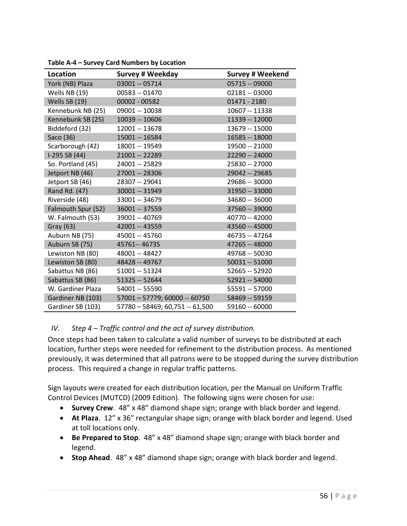| Location           | <b>Survey # Weekday</b>         | <b>Survey # Weekend</b> |
|--------------------|---------------------------------|-------------------------|
| York (NB) Plaza    | 03001 -- 05714                  | 05715 -- 09000          |
| Wells NB (19)      | 00583 -- 01470                  | 02181 -- 03000          |
| Wells SB (19)      | 00002 - 00582                   | $01471 - 2180$          |
| Kennebunk NB (25)  | 09001 -- 10038                  | 10607 -- 11338          |
| Kennebunk SB (25)  | 10039 -- 10606                  | 11339 -- 12000          |
| Biddeford (32)     | 12001 -- 13678                  | 13679 -- 15000          |
| Saco (36)          | 15001 -- 16584                  | 16585 -- 18000          |
| Scarborough (42)   | 18001 -- 19549                  | 19500 -- 21000          |
| I-295 SB (44)      | 21001 -- 22289                  | 22290 -- 24000          |
| So. Portland (45)  | 24001 -- 25829                  | 25830 -- 27000          |
| Jetport NB (46)    | 27001 -- 28306                  | 29042 -- 29685          |
| Jetport SB (46)    | 28307 -- 29041                  | 29686 -- 30000          |
| Rand Rd. (47)      | 30001 -- 31949                  | 31950 -- 33000          |
| Riverside (48)     | 33001 -- 34679                  | 34680 -- 36000          |
| Falmouth Spur (52) | 36001 -- 37559                  | 37560 -- 39000          |
| W. Falmouth (53)   | 39001 -- 40769                  | 40770 -- 42000          |
| Gray (63)          | 42001 -- 43559                  | 43560 -- 45000          |
| Auburn NB (75)     | 45001 -- 45760                  | 46735 -- 47264          |
| Auburn SB (75)     | 45761 -- 46735                  | 47265 -- 48000          |
| Lewiston NB (80)   | 48001 -- 48427                  | 49768 -- 50030          |
| Lewiston SB (80)   | 48428 -- 49767                  | $50031 - 51000$         |
| Sabattus NB (86)   | 51001 -- 51324                  | 52665 -- 52920          |
| Sabattus SB (86)   | 51325 -- 52644                  | 52921 -- 54000          |
| W. Gardiner Plaza  | 54001 -- 55590                  | 55591 -- 57000          |
| Gardiner NB (103)  | 57001 - 57779; 60000 -- 60750   | 58469 -- 59159          |
| Gardiner SB (103)  | 57780 - 58469; 60,751 -- 61,500 | 59160 -- 60000          |

<span id="page-55-0"></span>**Table A-4 – Survey Card Numbers by Location**

### *IV. Step 4 – Traffic control and the act of survey distribution.*

Once steps had been taken to calculate a valid number of surveys to be distributed at each location, further steps were needed for refinement to the distribution process. As mentioned previously, it was determined that all patrons were to be stopped during the survey distribution process. This required a change in regular traffic patterns.

Sign layouts were created for each distribution location, per the Manual on Uniform Traffic Control Devices (MUTCD) (2009 Edition). The following signs were chosen for use:

- **Survey Crew**. 48" x 48" diamond shape sign; orange with black border and legend.
- **At Plaza**. 12" x 36" rectangular shape sign; orange with black border and legend. Used at toll locations only.
- **Be Prepared to Stop**. 48" x 48" diamond shape sign; orange with black border and legend.
- **Stop Ahead**. 48" x 48" diamond shape sign; orange with black border and legend.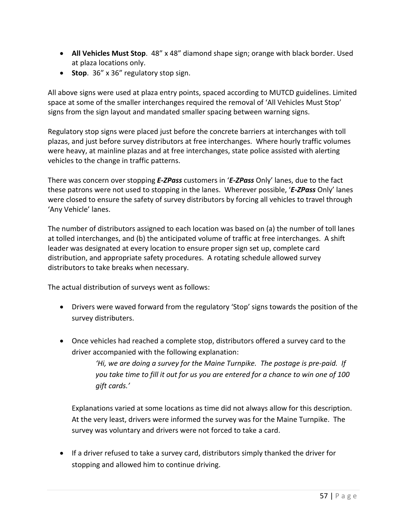- **All Vehicles Must Stop**. 48" x 48" diamond shape sign; orange with black border. Used at plaza locations only.
- **Stop**. 36" x 36" regulatory stop sign.

All above signs were used at plaza entry points, spaced according to MUTCD guidelines. Limited space at some of the smaller interchanges required the removal of 'All Vehicles Must Stop' signs from the sign layout and mandated smaller spacing between warning signs.

Regulatory stop signs were placed just before the concrete barriers at interchanges with toll plazas, and just before survey distributors at free interchanges. Where hourly traffic volumes were heavy, at mainline plazas and at free interchanges, state police assisted with alerting vehicles to the change in traffic patterns.

There was concern over stopping *E-ZPass* customers in '*E-ZPass* Only' lanes, due to the fact these patrons were not used to stopping in the lanes. Wherever possible, '*E-ZPass* Only' lanes were closed to ensure the safety of survey distributors by forcing all vehicles to travel through 'Any Vehicle' lanes.

The number of distributors assigned to each location was based on (a) the number of toll lanes at tolled interchanges, and (b) the anticipated volume of traffic at free interchanges. A shift leader was designated at every location to ensure proper sign set up, complete card distribution, and appropriate safety procedures. A rotating schedule allowed survey distributors to take breaks when necessary.

The actual distribution of surveys went as follows:

- Drivers were waved forward from the regulatory 'Stop' signs towards the position of the survey distributers.
- Once vehicles had reached a complete stop, distributors offered a survey card to the driver accompanied with the following explanation:

*'Hi, we are doing a survey for the Maine Turnpike. The postage is pre-paid. If you take time to fill it out for us you are entered for a chance to win one of 100 gift cards.'*

Explanations varied at some locations as time did not always allow for this description. At the very least, drivers were informed the survey was for the Maine Turnpike. The survey was voluntary and drivers were not forced to take a card.

• If a driver refused to take a survey card, distributors simply thanked the driver for stopping and allowed him to continue driving.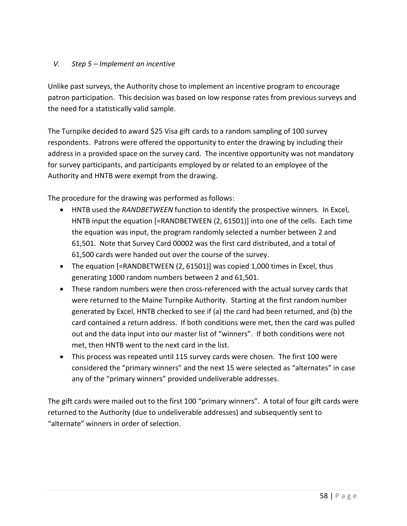### *V. Step 5 – Implement an incentive*

Unlike past surveys, the Authority chose to implement an incentive program to encourage patron participation. This decision was based on low response rates from previous surveys and the need for a statistically valid sample.

The Turnpike decided to award \$25 Visa gift cards to a random sampling of 100 survey respondents. Patrons were offered the opportunity to enter the drawing by including their address in a provided space on the survey card. The incentive opportunity was not mandatory for survey participants, and participants employed by or related to an employee of the Authority and HNTB were exempt from the drawing.

The procedure for the drawing was performed as follows:

- HNTB used the *RANDBETWEEN* function to identify the prospective winners. In Excel, HNTB input the equation [=RANDBETWEEN (2, 61501)] into one of the cells. Each time the equation was input, the program randomly selected a number between 2 and 61,501. Note that Survey Card 00002 was the first card distributed, and a total of 61,500 cards were handed out over the course of the survey.
- The equation [=RANDBETWEEN (2, 61501)] was copied 1,000 times in Excel, thus generating 1000 random numbers between 2 and 61,501.
- These random numbers were then cross-referenced with the actual survey cards that were returned to the Maine Turnpike Authority. Starting at the first random number generated by Excel, HNTB checked to see if (a) the card had been returned, and (b) the card contained a return address. If both conditions were met, then the card was pulled out and the data input into our master list of "winners". If both conditions were not met, then HNTB went to the next card in the list.
- This process was repeated until 115 survey cards were chosen. The first 100 were considered the "primary winners" and the next 15 were selected as "alternates" in case any of the "primary winners" provided undeliverable addresses.

The gift cards were mailed out to the first 100 "primary winners". A total of four gift cards were returned to the Authority (due to undeliverable addresses) and subsequently sent to "alternate" winners in order of selection.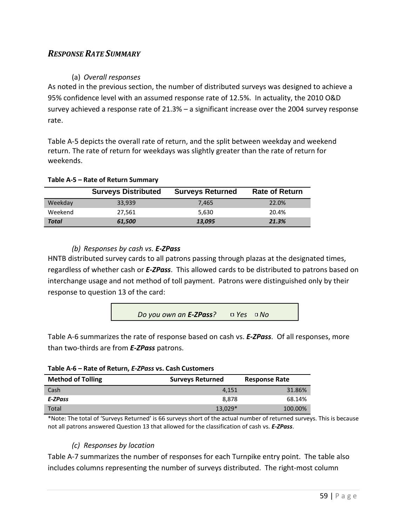### <span id="page-58-0"></span>*RESPONSE RATE SUMMARY*

### (a) *Overall responses*

As noted in the previous section, the number of distributed surveys was designed to achieve a 95% confidence level with an assumed response rate of 12.5%. In actuality, the 2010 O&D survey achieved a response rate of 21.3% – a significant increase over the 2004 survey response rate.

[Table A-5](#page-58-1) depicts the overall rate of return, and the split between weekday and weekend return. The rate of return for weekdays was slightly greater than the rate of return for weekends.

<span id="page-58-1"></span>

| Table A-5 - Rate of Return Summary |  |  |  |
|------------------------------------|--|--|--|
|------------------------------------|--|--|--|

|         | <b>Surveys Distributed</b> | <b>Surveys Returned</b> | <b>Rate of Return</b> |
|---------|----------------------------|-------------------------|-----------------------|
| Weekday | 33.939                     | 7.465                   | 22.0%                 |
| Weekend | 27.561                     | 5.630                   | 20.4%                 |
| Total   | 61,500                     | 13,095                  | 21.3%                 |

### *(b) Responses by cash vs. E-ZPass*

HNTB distributed survey cards to all patrons passing through plazas at the designated times, regardless of whether cash or *E-ZPass*. This allowed cards to be distributed to patrons based on interchange usage and not method of toll payment. Patrons were distinguished only by their response to question 13 of the card:

*Do you own an E-ZPass? Yes No*

[Table A-6](#page-58-2) summarizes the rate of response based on cash vs. *E-ZPass*. Of all responses, more than two-thirds are from *E-ZPass* patrons.

| <b>Table A-0</b> Rate Of Retaili, E-21 ass vs. Cash Castollicis |                         |                      |  |  |  |  |  |
|-----------------------------------------------------------------|-------------------------|----------------------|--|--|--|--|--|
| <b>Method of Tolling</b>                                        | <b>Surveys Returned</b> | <b>Response Rate</b> |  |  |  |  |  |
| Cash                                                            | 4.151                   | 31.86%               |  |  |  |  |  |
| E-ZPass                                                         | 8.878                   | 68.14%               |  |  |  |  |  |
| Total                                                           | $13.029*$               | 100.00%              |  |  |  |  |  |

### <span id="page-58-2"></span>**Table A-6 – Rate of Return,** *E-ZPass* **vs. Cash Customers**

\*Note: The total of 'Surveys Returned' is 66 surveys short of the actual number of returned surveys. This is because not all patrons answered Question 13 that allowed for the classification of cash vs. *E-ZPass*.

### *(c) Responses by location*

[Table A-7](#page-59-0) summarizes the number of responses for each Turnpike entry point. The table also includes columns representing the number of surveys distributed. The right-most column